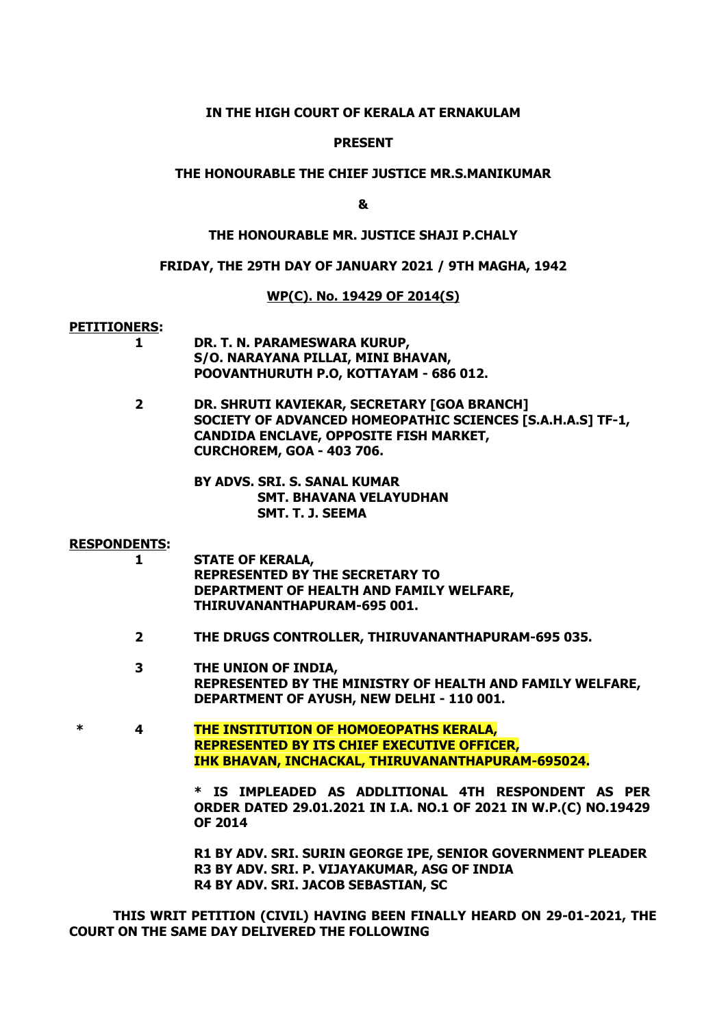#### **IN THE HIGH COURT OF KERALA AT ERNAKULAM**

#### **PRESENT**

#### **THE HONOURABLE THE CHIEF JUSTICE MR.S.MANIKUMAR**

**&**

## **THE HONOURABLE MR. JUSTICE SHAJI P.CHALY**

#### **FRIDAY, THE 29TH DAY OF JANUARY 2021 / 9TH MAGHA, 1942**

#### **WP(C). No. 19429 OF 2014(S)**

#### **PETITIONERS:**

- **1 DR. T. N. PARAMESWARA KURUP, S/O. NARAYANA PILLAI, MINI BHAVAN, POOVANTHURUTH P.O, KOTTAYAM - 686 012.**
- **2 DR. SHRUTI KAVIEKAR, SECRETARY [GOA BRANCH] SOCIETY OF ADVANCED HOMEOPATHIC SCIENCES [S.A.H.A.S] TF-1, CANDIDA ENCLAVE, OPPOSITE FISH MARKET, CURCHOREM, GOA - 403 706.**
	- **BY ADVS. SRI. S. SANAL KUMAR SMT. BHAVANA VELAYUDHAN SMT. T. J. SEEMA**

#### **RESPONDENTS:**

- **1 STATE OF KERALA, REPRESENTED BY THE SECRETARY TO DEPARTMENT OF HEALTH AND FAMILY WELFARE, THIRUVANANTHAPURAM-695 001.**
- **2 THE DRUGS CONTROLLER, THIRUVANANTHAPURAM-695 035.**
- **3 THE UNION OF INDIA, REPRESENTED BY THE MINISTRY OF HEALTH AND FAMILY WELFARE, DEPARTMENT OF AYUSH, NEW DELHI - 110 001.**
- **\* 4 THE INSTITUTION OF HOMOEOPATHS KERALA, REPRESENTED BY ITS CHIEF EXECUTIVE OFFICER, IHK BHAVAN, INCHACKAL, THIRUVANANTHAPURAM-695024.**

**\* IS IMPLEADED AS ADDLITIONAL 4TH RESPONDENT AS PER ORDER DATED 29.01.2021 IN I.A. NO.1 OF 2021 IN W.P.(C) NO.19429 OF 2014**

**R1 BY ADV. SRI. SURIN GEORGE IPE, SENIOR GOVERNMENT PLEADER R3 BY ADV. SRI. P. VIJAYAKUMAR, ASG OF INDIA R4 BY ADV. SRI. JACOB SEBASTIAN, SC**

**THIS WRIT PETITION (CIVIL) HAVING BEEN FINALLY HEARD ON 29-01-2021, THE COURT ON THE SAME DAY DELIVERED THE FOLLOWING**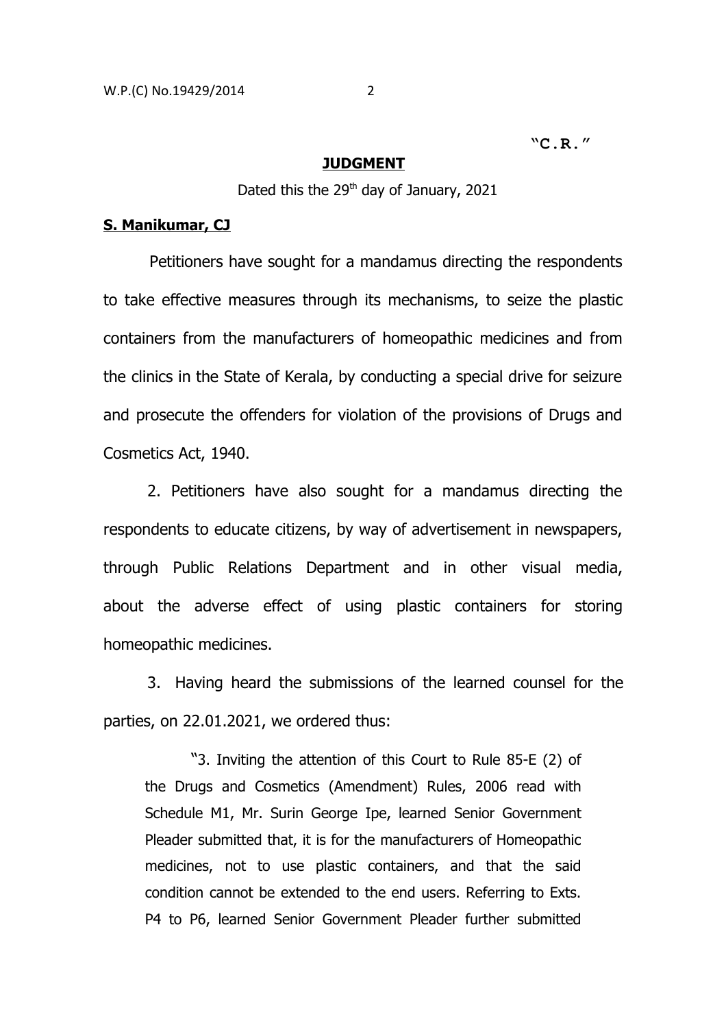**"C.R."**

#### **JUDGMENT**

Dated this the 29<sup>th</sup> day of January, 2021

# **S. Manikumar, CJ**

 Petitioners have sought for a mandamus directing the respondents to take effective measures through its mechanisms, to seize the plastic containers from the manufacturers of homeopathic medicines and from the clinics in the State of Kerala, by conducting a special drive for seizure and prosecute the offenders for violation of the provisions of Drugs and Cosmetics Act, 1940.

2. Petitioners have also sought for a mandamus directing the respondents to educate citizens, by way of advertisement in newspapers, through Public Relations Department and in other visual media, about the adverse effect of using plastic containers for storing homeopathic medicines.

3. Having heard the submissions of the learned counsel for the parties, on 22.01.2021, we ordered thus:

"3. Inviting the attention of this Court to Rule 85-E (2) of the Drugs and Cosmetics (Amendment) Rules, 2006 read with Schedule M1, Mr. Surin George Ipe, learned Senior Government Pleader submitted that, it is for the manufacturers of Homeopathic medicines, not to use plastic containers, and that the said condition cannot be extended to the end users. Referring to Exts. P4 to P6, learned Senior Government Pleader further submitted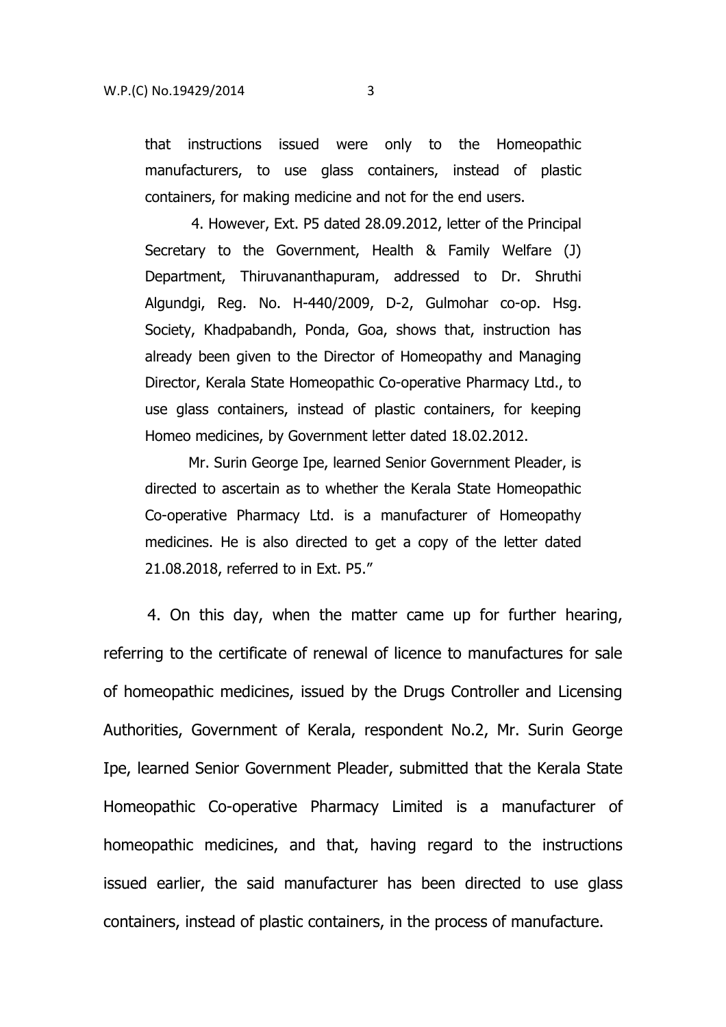that instructions issued were only to the Homeopathic manufacturers, to use glass containers, instead of plastic containers, for making medicine and not for the end users.

4. However, Ext. P5 dated 28.09.2012, letter of the Principal Secretary to the Government, Health & Family Welfare (J) Department, Thiruvananthapuram, addressed to Dr. Shruthi Algundgi, Reg. No. H-440/2009, D-2, Gulmohar co-op. Hsg. Society, Khadpabandh, Ponda, Goa, shows that, instruction has already been given to the Director of Homeopathy and Managing Director, Kerala State Homeopathic Co-operative Pharmacy Ltd., to use glass containers, instead of plastic containers, for keeping Homeo medicines, by Government letter dated 18.02.2012.

 Mr. Surin George Ipe, learned Senior Government Pleader, is directed to ascertain as to whether the Kerala State Homeopathic Co-operative Pharmacy Ltd. is a manufacturer of Homeopathy medicines. He is also directed to get a copy of the letter dated 21.08.2018, referred to in Ext. P5."

4. On this day, when the matter came up for further hearing, referring to the certificate of renewal of licence to manufactures for sale of homeopathic medicines, issued by the Drugs Controller and Licensing Authorities, Government of Kerala, respondent No.2, Mr. Surin George Ipe, learned Senior Government Pleader, submitted that the Kerala State Homeopathic Co-operative Pharmacy Limited is a manufacturer of homeopathic medicines, and that, having regard to the instructions issued earlier, the said manufacturer has been directed to use glass containers, instead of plastic containers, in the process of manufacture.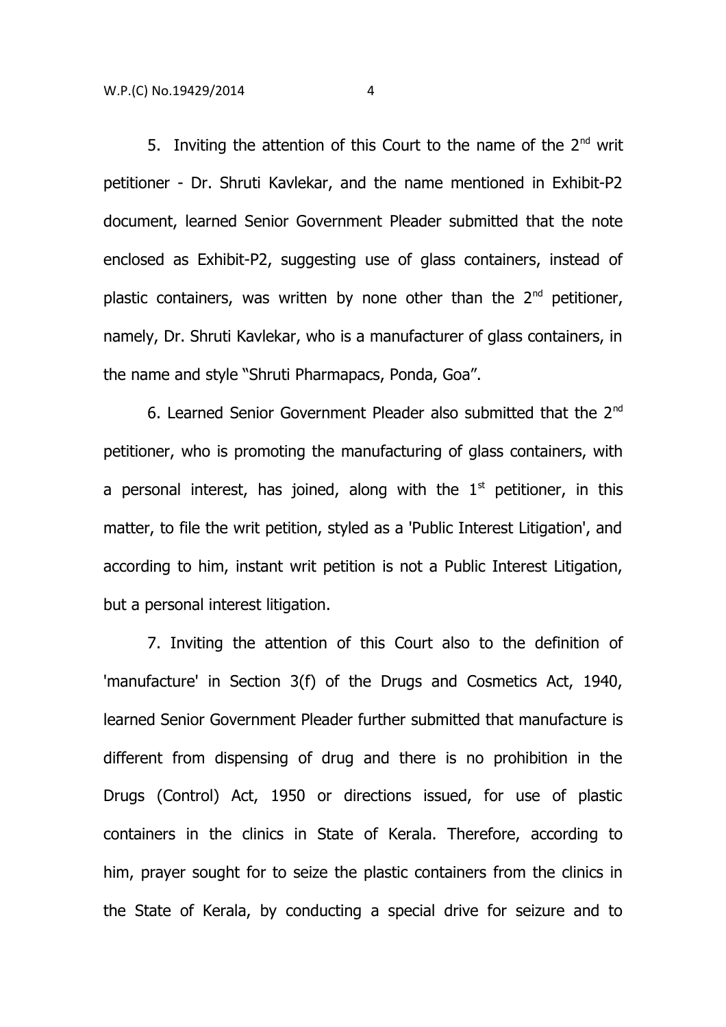5. Inviting the attention of this Court to the name of the  $2^{nd}$  writ petitioner - Dr. Shruti Kavlekar, and the name mentioned in Exhibit-P2 document, learned Senior Government Pleader submitted that the note enclosed as Exhibit-P2, suggesting use of glass containers, instead of plastic containers, was written by none other than the  $2<sup>nd</sup>$  petitioner, namely, Dr. Shruti Kavlekar, who is a manufacturer of glass containers, in the name and style "Shruti Pharmapacs, Ponda, Goa".

6. Learned Senior Government Pleader also submitted that the 2nd petitioner, who is promoting the manufacturing of glass containers, with a personal interest, has joined, along with the  $1<sup>st</sup>$  petitioner, in this matter, to file the writ petition, styled as a 'Public Interest Litigation', and according to him, instant writ petition is not a Public Interest Litigation, but a personal interest litigation.

7. Inviting the attention of this Court also to the definition of 'manufacture' in Section 3(f) of the Drugs and Cosmetics Act, 1940, learned Senior Government Pleader further submitted that manufacture is different from dispensing of drug and there is no prohibition in the Drugs (Control) Act, 1950 or directions issued, for use of plastic containers in the clinics in State of Kerala. Therefore, according to him, prayer sought for to seize the plastic containers from the clinics in the State of Kerala, by conducting a special drive for seizure and to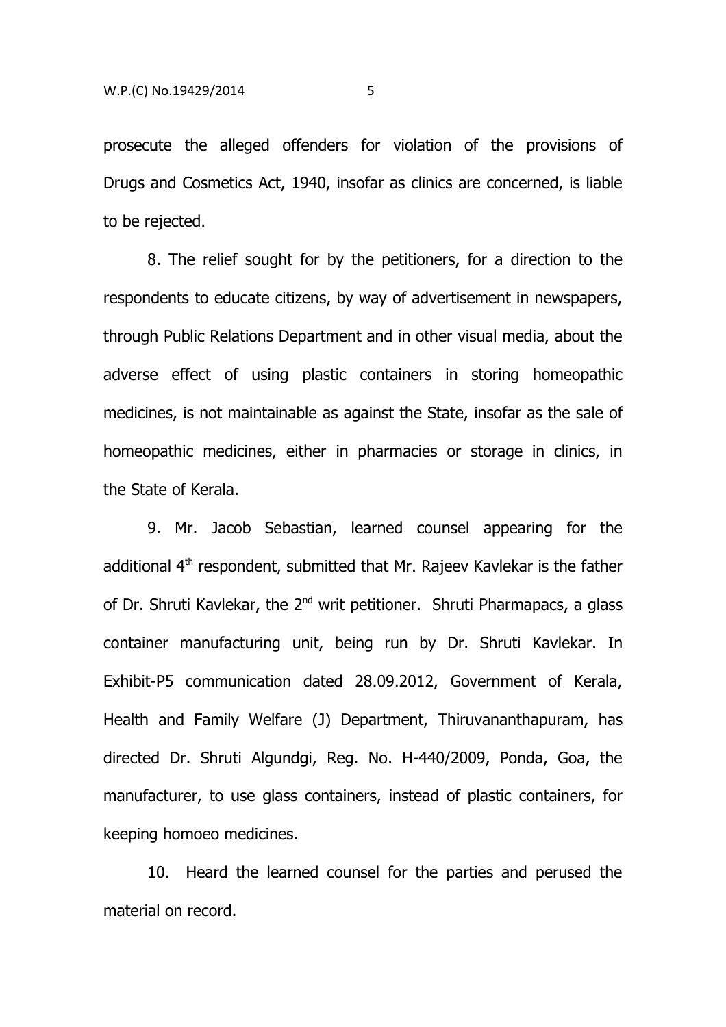prosecute the alleged offenders for violation of the provisions of Drugs and Cosmetics Act, 1940, insofar as clinics are concerned, is liable to be rejected.

8. The relief sought for by the petitioners, for a direction to the respondents to educate citizens, by way of advertisement in newspapers, through Public Relations Department and in other visual media, about the adverse effect of using plastic containers in storing homeopathic medicines, is not maintainable as against the State, insofar as the sale of homeopathic medicines, either in pharmacies or storage in clinics, in the State of Kerala.

9. Mr. Jacob Sebastian, learned counsel appearing for the additional 4<sup>th</sup> respondent, submitted that Mr. Rajeev Kavlekar is the father of Dr. Shruti Kavlekar, the  $2^{nd}$  writ petitioner. Shruti Pharmapacs, a glass container manufacturing unit, being run by Dr. Shruti Kavlekar. In Exhibit-P5 communication dated 28.09.2012, Government of Kerala, Health and Family Welfare (J) Department, Thiruvananthapuram, has directed Dr. Shruti Algundgi, Reg. No. H-440/2009, Ponda, Goa, the manufacturer, to use glass containers, instead of plastic containers, for keeping homoeo medicines.

10. Heard the learned counsel for the parties and perused the material on record.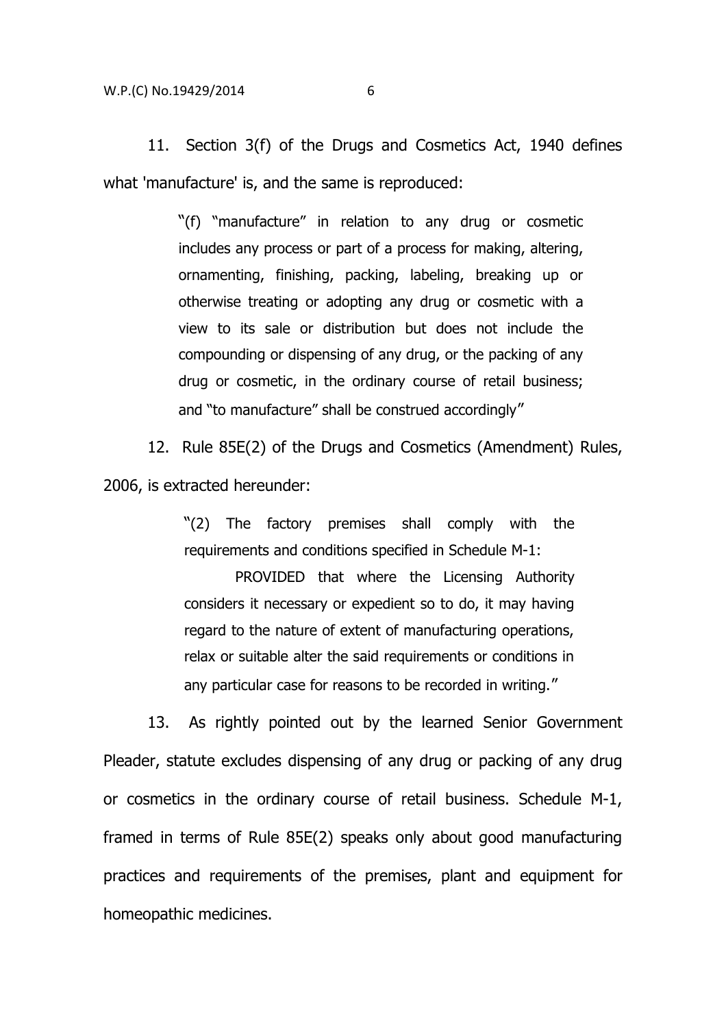11. Section 3(f) of the Drugs and Cosmetics Act, 1940 defines what 'manufacture' is, and the same is reproduced:

> "(f) "manufacture" in relation to any drug or cosmetic includes any process or part of a process for making, altering, ornamenting, finishing, packing, labeling, breaking up or otherwise treating or adopting any drug or cosmetic with a view to its sale or distribution but does not include the compounding or dispensing of any drug, or the packing of any drug or cosmetic, in the ordinary course of retail business; and "to manufacture" shall be construed accordingly"

12. Rule 85E(2) of the Drugs and Cosmetics (Amendment) Rules, 2006, is extracted hereunder:

> "(2) The factory premises shall comply with the requirements and conditions specified in Schedule M-1:

> PROVIDED that where the Licensing Authority considers it necessary or expedient so to do, it may having regard to the nature of extent of manufacturing operations, relax or suitable alter the said requirements or conditions in any particular case for reasons to be recorded in writing."

13. As rightly pointed out by the learned Senior Government Pleader, statute excludes dispensing of any drug or packing of any drug or cosmetics in the ordinary course of retail business. Schedule M-1, framed in terms of Rule 85E(2) speaks only about good manufacturing practices and requirements of the premises, plant and equipment for homeopathic medicines.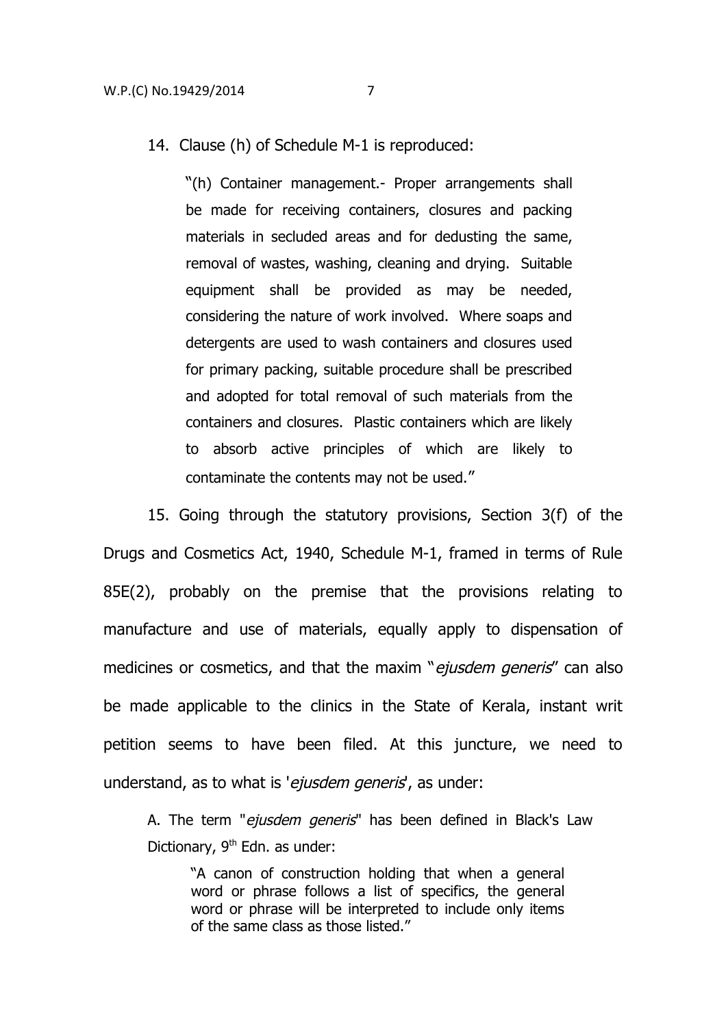14. Clause (h) of Schedule M-1 is reproduced:

"(h) Container management.- Proper arrangements shall be made for receiving containers, closures and packing materials in secluded areas and for dedusting the same, removal of wastes, washing, cleaning and drying. Suitable equipment shall be provided as may be needed, considering the nature of work involved. Where soaps and detergents are used to wash containers and closures used for primary packing, suitable procedure shall be prescribed and adopted for total removal of such materials from the containers and closures. Plastic containers which are likely to absorb active principles of which are likely to contaminate the contents may not be used."

15. Going through the statutory provisions, Section 3(f) of the Drugs and Cosmetics Act, 1940, Schedule M-1, framed in terms of Rule 85E(2), probably on the premise that the provisions relating to manufacture and use of materials, equally apply to dispensation of medicines or cosmetics, and that the maxim "ejusdem generis" can also be made applicable to the clinics in the State of Kerala, instant writ petition seems to have been filed. At this juncture, we need to understand, as to what is 'ejusdem generis', as under:

A. The term "ejusdem generis" has been defined in Black's Law Dictionary,  $9<sup>th</sup>$  Edn. as under:

"A canon of construction holding that when a general word or phrase follows a list of specifics, the general word or phrase will be interpreted to include only items of the same class as those listed."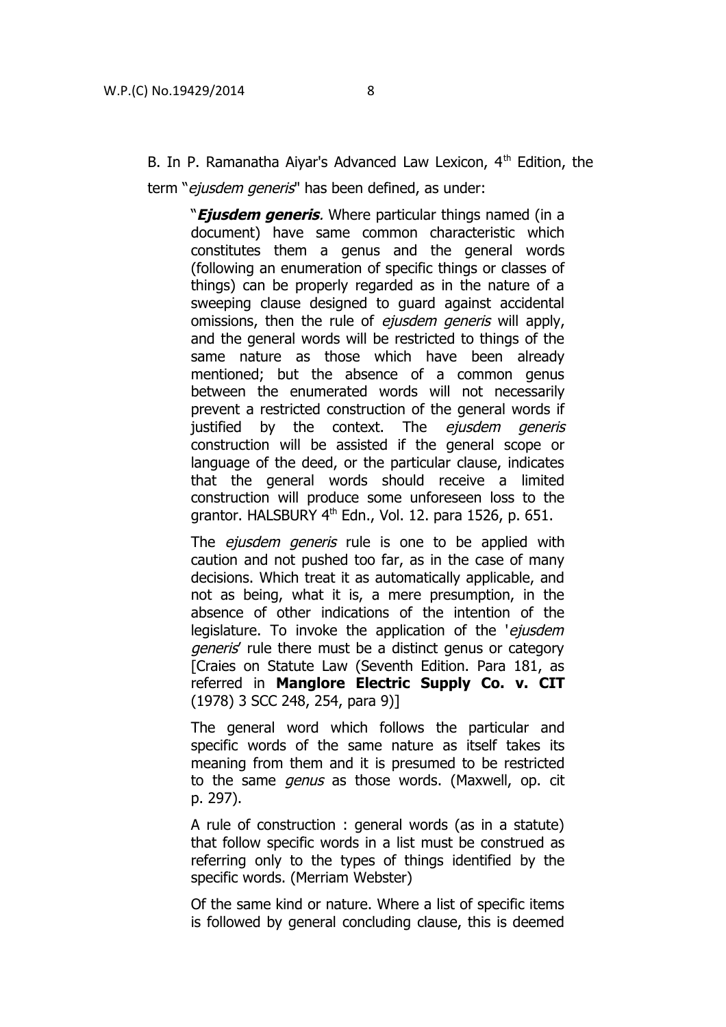B. In P. Ramanatha Aiyar's Advanced Law Lexicon,  $4<sup>th</sup>$  Edition, the

term "ejusdem generis" has been defined, as under:

"**Ejusdem generis**. Where particular things named (in a document) have same common characteristic which constitutes them a genus and the general words (following an enumeration of specific things or classes of things) can be properly regarded as in the nature of a sweeping clause designed to guard against accidental omissions, then the rule of *ejusdem generis* will apply, and the general words will be restricted to things of the same nature as those which have been already mentioned; but the absence of a common genus between the enumerated words will not necessarily prevent a restricted construction of the general words if justified by the context. The ejusdem generis construction will be assisted if the general scope or language of the deed, or the particular clause, indicates that the general words should receive a limited construction will produce some unforeseen loss to the grantor. HALSBURY 4<sup>th</sup> Edn., Vol. 12. para 1526, p. 651.

The ejusdem generis rule is one to be applied with caution and not pushed too far, as in the case of many decisions. Which treat it as automatically applicable, and not as being, what it is, a mere presumption, in the absence of other indications of the intention of the legislature. To invoke the application of the 'ejusdem generis' rule there must be a distinct genus or category [Craies on Statute Law (Seventh Edition. Para 181, as referred in **Manglore Electric Supply Co. v. CIT** (1978) 3 SCC 248, 254, para 9)]

The general word which follows the particular and specific words of the same nature as itself takes its meaning from them and it is presumed to be restricted to the same *genus* as those words. (Maxwell, op. cit p. 297).

A rule of construction : general words (as in a statute) that follow specific words in a list must be construed as referring only to the types of things identified by the specific words. (Merriam Webster)

Of the same kind or nature. Where a list of specific items is followed by general concluding clause, this is deemed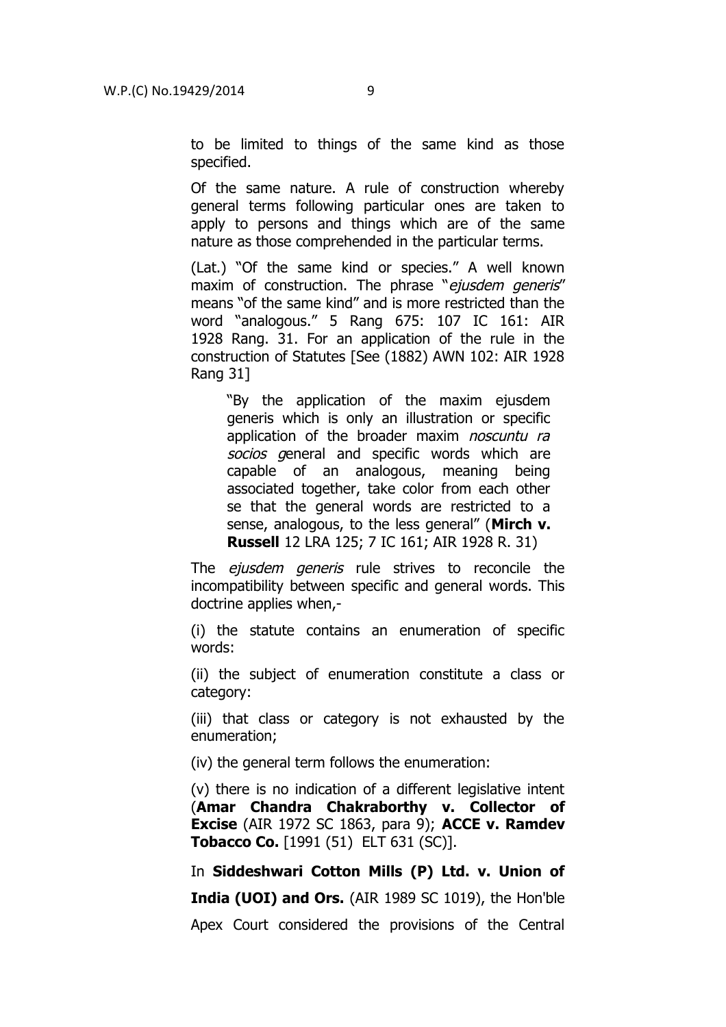to be limited to things of the same kind as those specified.

Of the same nature. A rule of construction whereby general terms following particular ones are taken to apply to persons and things which are of the same nature as those comprehended in the particular terms.

(Lat.) "Of the same kind or species." A well known maxim of construction. The phrase "ejusdem generis" means "of the same kind" and is more restricted than the word "analogous." 5 Rang 675: 107 IC 161: AIR 1928 Rang. 31. For an application of the rule in the construction of Statutes [See (1882) AWN 102: AIR 1928 Rang 31]

"By the application of the maxim ejusdem generis which is only an illustration or specific application of the broader maxim noscuntu ra socios general and specific words which are capable of an analogous, meaning being associated together, take color from each other se that the general words are restricted to a sense, analogous, to the less general" (**Mirch v. Russell** 12 LRA 125; 7 IC 161; AIR 1928 R. 31)

The *ejusdem generis* rule strives to reconcile the incompatibility between specific and general words. This doctrine applies when,-

(i) the statute contains an enumeration of specific words:

(ii) the subject of enumeration constitute a class or category:

(iii) that class or category is not exhausted by the enumeration;

(iv) the general term follows the enumeration:

(v) there is no indication of a different legislative intent (**Amar Chandra Chakraborthy v. Collector of Excise** (AIR 1972 SC 1863, para 9); **ACCE v. Ramdev Tobacco Co.** [1991 (51) ELT 631 (SC)].

In **Siddeshwari Cotton Mills (P) Ltd. v. Union of India (UOI) and Ors.** (AIR 1989 SC 1019), the Hon'ble Apex Court considered the provisions of the Central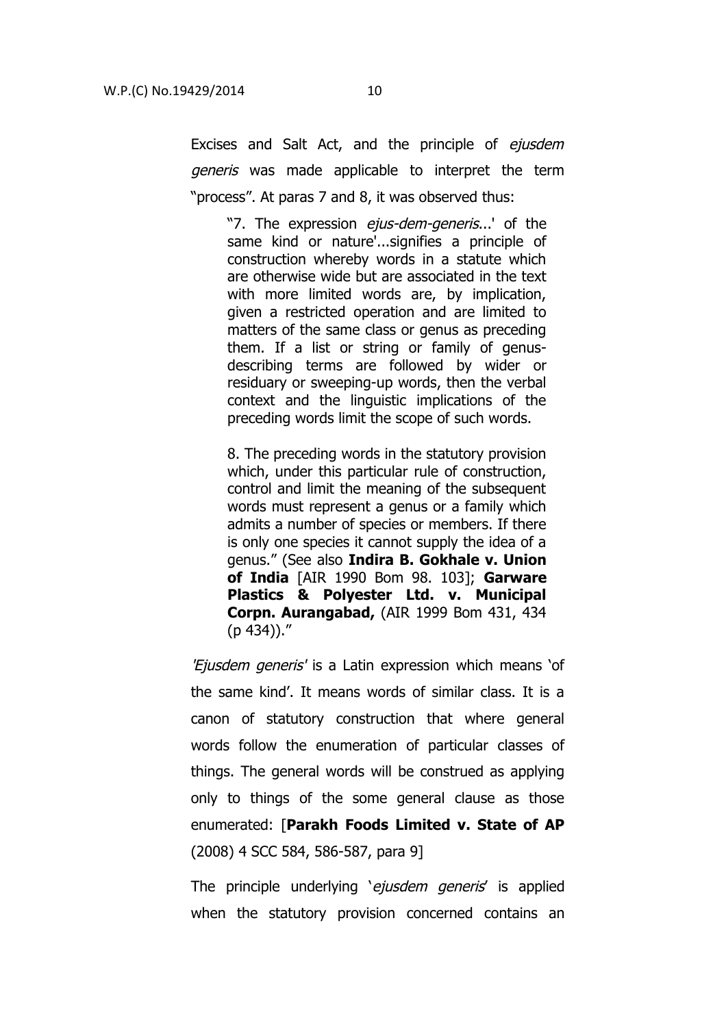Excises and Salt Act, and the principle of ejusdem generis was made applicable to interpret the term "process". At paras 7 and 8, it was observed thus:

"7. The expression *eius-dem-generis...*' of the same kind or nature'...signifies a principle of construction whereby words in a statute which are otherwise wide but are associated in the text with more limited words are, by implication, given a restricted operation and are limited to matters of the same class or genus as preceding them. If a list or string or family of genusdescribing terms are followed by wider or residuary or sweeping-up words, then the verbal context and the linguistic implications of the preceding words limit the scope of such words.

8. The preceding words in the statutory provision which, under this particular rule of construction, control and limit the meaning of the subsequent words must represent a genus or a family which admits a number of species or members. If there is only one species it cannot supply the idea of a genus." (See also **Indira B. Gokhale v. Union of India** [AIR 1990 Bom 98. 103]; **Garware Plastics & Polyester Ltd. v. Municipal Corpn. Aurangabad,** (AIR 1999 Bom 431, 434 (p 434))."

'Ejusdem generis' is a Latin expression which means 'of the same kind'. It means words of similar class. It is a canon of statutory construction that where general words follow the enumeration of particular classes of things. The general words will be construed as applying only to things of the some general clause as those enumerated: [**Parakh Foods Limited v. State of AP** (2008) 4 SCC 584, 586-587, para 9]

The principle underlying 'ejusdem generis' is applied when the statutory provision concerned contains an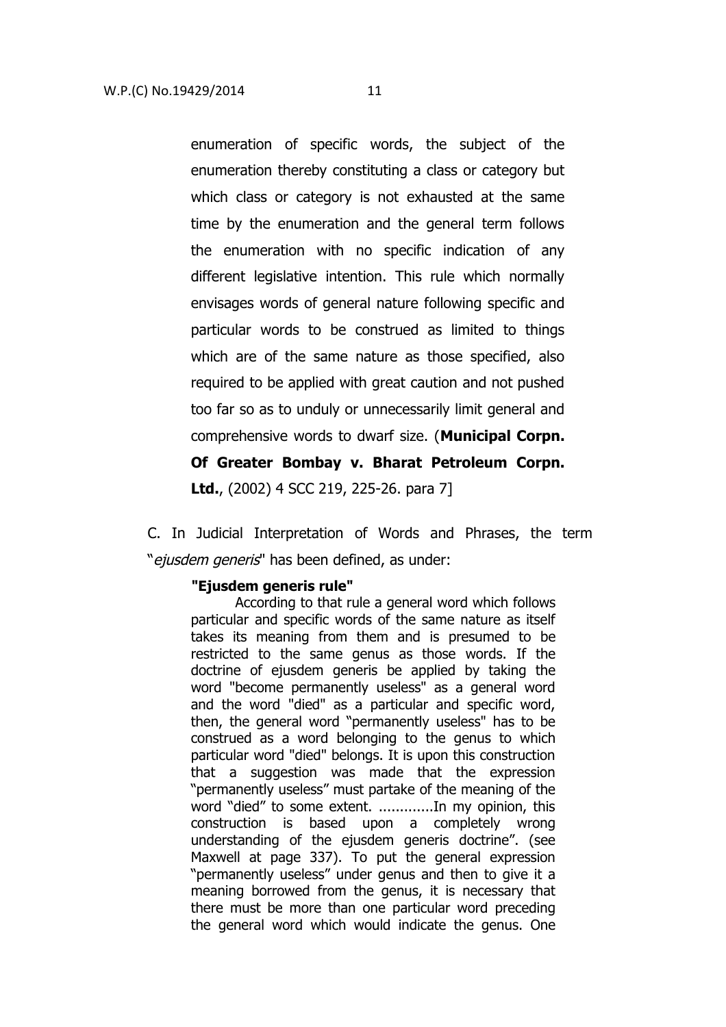enumeration of specific words, the subject of the enumeration thereby constituting a class or category but which class or category is not exhausted at the same time by the enumeration and the general term follows the enumeration with no specific indication of any different legislative intention. This rule which normally envisages words of general nature following specific and particular words to be construed as limited to things which are of the same nature as those specified, also required to be applied with great caution and not pushed too far so as to unduly or unnecessarily limit general and comprehensive words to dwarf size. (**Municipal Corpn. Of Greater Bombay v. Bharat Petroleum Corpn. Ltd.**, (2002) 4 SCC 219, 225-26. para 7]

C. In Judicial Interpretation of Words and Phrases, the term "ejusdem generis" has been defined, as under:

#### **"Ejusdem generis rule"**

According to that rule a general word which follows particular and specific words of the same nature as itself takes its meaning from them and is presumed to be restricted to the same genus as those words. If the doctrine of ejusdem generis be applied by taking the word "become permanently useless" as a general word and the word "died" as a particular and specific word, then, the general word "permanently useless" has to be construed as a word belonging to the genus to which particular word "died" belongs. It is upon this construction that a suggestion was made that the expression "permanently useless" must partake of the meaning of the word "died" to some extent. .............In my opinion, this construction is based upon a completely wrong understanding of the ejusdem generis doctrine". (see Maxwell at page 337). To put the general expression "permanently useless" under genus and then to give it a meaning borrowed from the genus, it is necessary that there must be more than one particular word preceding the general word which would indicate the genus. One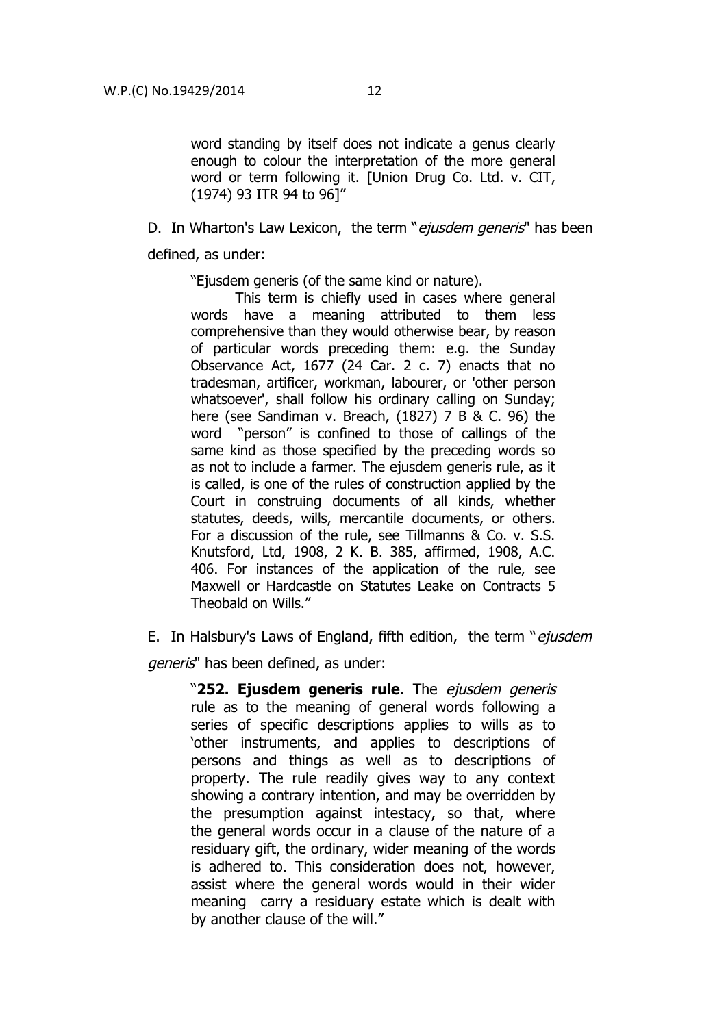word standing by itself does not indicate a genus clearly enough to colour the interpretation of the more general word or term following it. [Union Drug Co. Ltd. v. CIT, (1974) 93 ITR 94 to 96]"

D. In Wharton's Law Lexicon, the term "ejusdem generis" has been defined, as under:

"Ejusdem generis (of the same kind or nature).

This term is chiefly used in cases where general words have a meaning attributed to them less comprehensive than they would otherwise bear, by reason of particular words preceding them: e.g. the Sunday Observance Act, 1677 (24 Car. 2 c. 7) enacts that no tradesman, artificer, workman, labourer, or 'other person whatsoever', shall follow his ordinary calling on Sunday; here (see Sandiman v. Breach, (1827) 7 B & C. 96) the word "person" is confined to those of callings of the same kind as those specified by the preceding words so as not to include a farmer. The ejusdem generis rule, as it is called, is one of the rules of construction applied by the Court in construing documents of all kinds, whether statutes, deeds, wills, mercantile documents, or others. For a discussion of the rule, see Tillmanns & Co. v. S.S. Knutsford, Ltd, 1908, 2 K. B. 385, affirmed, 1908, A.C. 406. For instances of the application of the rule, see Maxwell or Hardcastle on Statutes Leake on Contracts 5 Theobald on Wills."

E. In Halsbury's Laws of England, fifth edition, the term "ejusdem" generis" has been defined, as under:

"**252. Ejusdem generis rule**. The ejusdem generis rule as to the meaning of general words following a series of specific descriptions applies to wills as to 'other instruments, and applies to descriptions of persons and things as well as to descriptions of property. The rule readily gives way to any context showing a contrary intention, and may be overridden by the presumption against intestacy, so that, where the general words occur in a clause of the nature of a residuary gift, the ordinary, wider meaning of the words is adhered to. This consideration does not, however, assist where the general words would in their wider meaning carry a residuary estate which is dealt with by another clause of the will."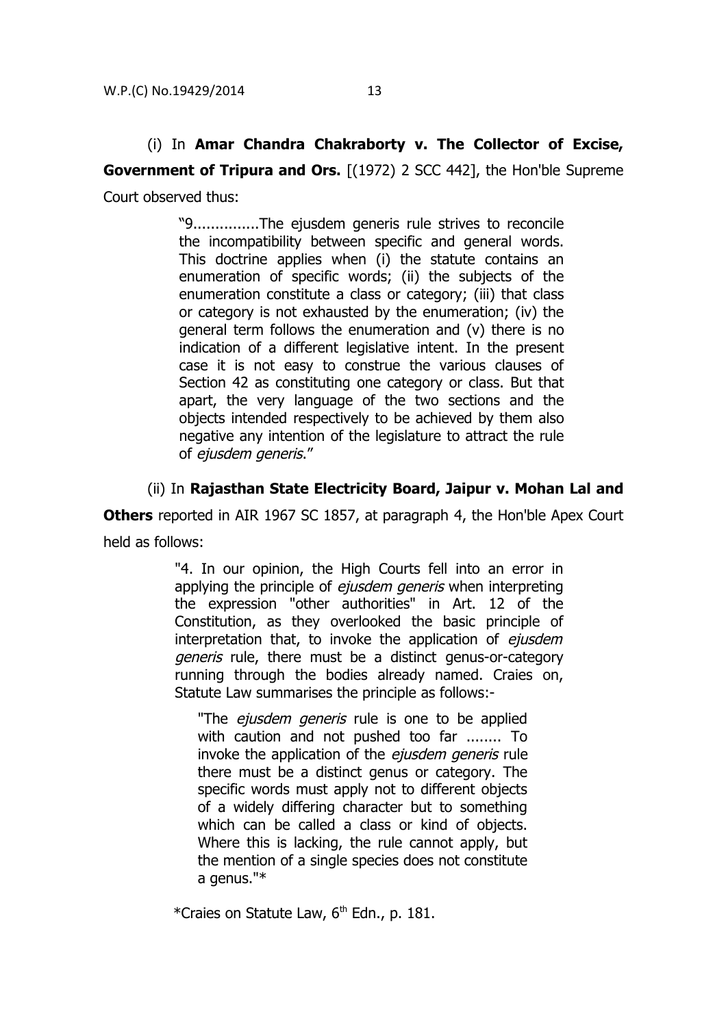# (i) In **Amar Chandra Chakraborty v. The Collector of Excise, Government of Tripura and Ors.** [(1972) 2 SCC 442], the Hon'ble Supreme Court observed thus:

"9...............The ejusdem generis rule strives to reconcile the incompatibility between specific and general words. This doctrine applies when (i) the statute contains an enumeration of specific words; (ii) the subjects of the enumeration constitute a class or category; (iii) that class or category is not exhausted by the enumeration; (iv) the general term follows the enumeration and (v) there is no indication of a different legislative intent. In the present case it is not easy to construe the various clauses of Section 42 as constituting one category or class. But that apart, the very language of the two sections and the objects intended respectively to be achieved by them also negative any intention of the legislature to attract the rule of ejusdem generis."

# (ii) In **Rajasthan State Electricity Board, Jaipur v. Mohan Lal and**

**Others** reported in AIR 1967 SC 1857, at paragraph 4, the Hon'ble Apex Court held as follows:

> "4. In our opinion, the High Courts fell into an error in applying the principle of *ejusdem generis* when interpreting the expression "other authorities" in Art. 12 of the Constitution, as they overlooked the basic principle of interpretation that, to invoke the application of ejusdem generis rule, there must be a distinct genus-or-category running through the bodies already named. Craies on, Statute Law summarises the principle as follows:-

"The ejusdem generis rule is one to be applied with caution and not pushed too far ........ To invoke the application of the *eiusdem generis* rule there must be a distinct genus or category. The specific words must apply not to different objects of a widely differing character but to something which can be called a class or kind of objects. Where this is lacking, the rule cannot apply, but the mention of a single species does not constitute a genus."\*

\*Craies on Statute Law,  $6<sup>th</sup>$  Edn., p. 181.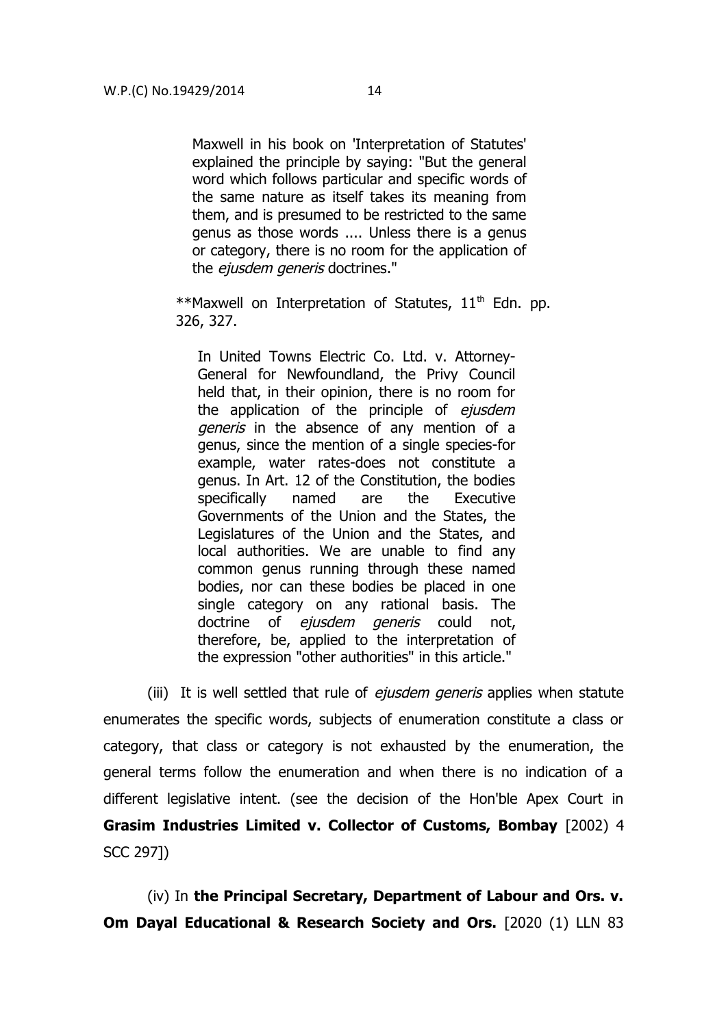Maxwell in his book on 'Interpretation of Statutes' explained the principle by saying: "But the general word which follows particular and specific words of the same nature as itself takes its meaning from them, and is presumed to be restricted to the same genus as those words .... Unless there is a genus or category, there is no room for the application of the *ejusdem generis* doctrines."

\*\*Maxwell on Interpretation of Statutes,  $11<sup>th</sup>$  Edn. pp. 326, 327.

In United Towns Electric Co. Ltd. v. Attorney-General for Newfoundland, the Privy Council held that, in their opinion, there is no room for the application of the principle of ejusdem generis in the absence of any mention of a genus, since the mention of a single species-for example, water rates-does not constitute a genus. In Art. 12 of the Constitution, the bodies specifically named are the Executive Governments of the Union and the States, the Legislatures of the Union and the States, and local authorities. We are unable to find any common genus running through these named bodies, nor can these bodies be placed in one single category on any rational basis. The doctrine of ejusdem generis could not, therefore, be, applied to the interpretation of the expression "other authorities" in this article."

(iii) It is well settled that rule of *eiusdem generis* applies when statute enumerates the specific words, subjects of enumeration constitute a class or category, that class or category is not exhausted by the enumeration, the general terms follow the enumeration and when there is no indication of a different legislative intent. (see the decision of the Hon'ble Apex Court in **Grasim Industries Limited v. Collector of Customs, Bombay** [2002) 4 SCC 297])

(iv) In **the Principal Secretary, Department of Labour and Ors. v. Om Dayal Educational & Research Society and Ors.** [2020 (1) LLN 83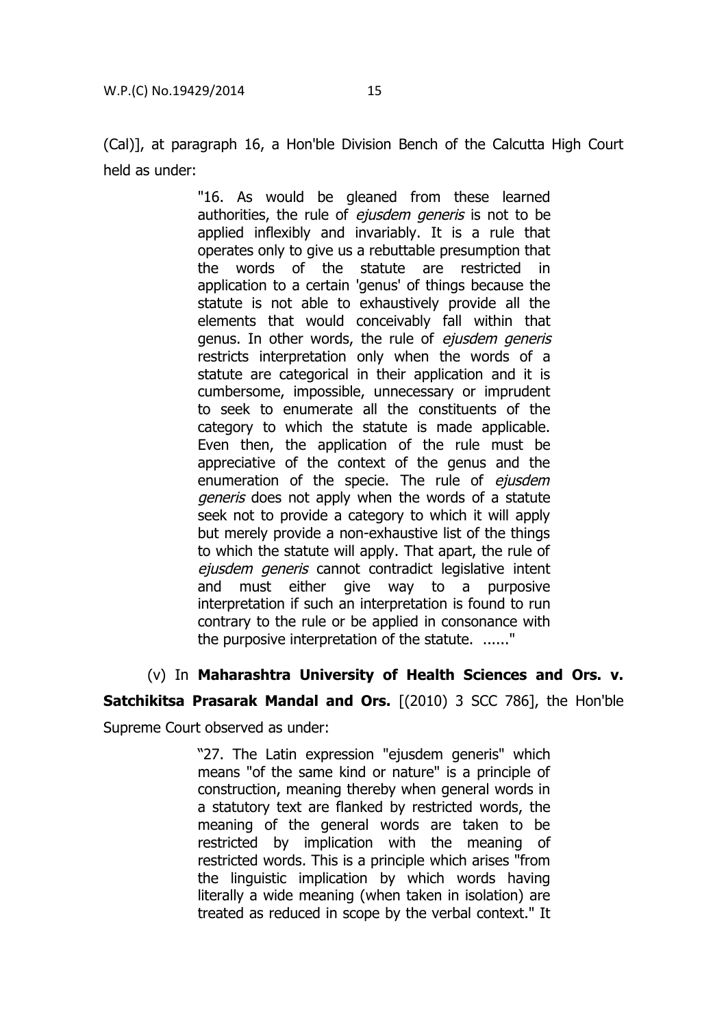(Cal)], at paragraph 16, a Hon'ble Division Bench of the Calcutta High Court held as under:

> "16. As would be gleaned from these learned authorities, the rule of ejusdem generis is not to be applied inflexibly and invariably. It is a rule that operates only to give us a rebuttable presumption that the words of the statute are restricted in application to a certain 'genus' of things because the statute is not able to exhaustively provide all the elements that would conceivably fall within that genus. In other words, the rule of ejusdem generis restricts interpretation only when the words of a statute are categorical in their application and it is cumbersome, impossible, unnecessary or imprudent to seek to enumerate all the constituents of the category to which the statute is made applicable. Even then, the application of the rule must be appreciative of the context of the genus and the enumeration of the specie. The rule of ejusdem generis does not apply when the words of a statute seek not to provide a category to which it will apply but merely provide a non-exhaustive list of the things to which the statute will apply. That apart, the rule of ejusdem generis cannot contradict legislative intent and must either give way to a purposive interpretation if such an interpretation is found to run contrary to the rule or be applied in consonance with the purposive interpretation of the statute. ......"

# (v) In **Maharashtra University of Health Sciences and Ors. v.**

# **Satchikitsa Prasarak Mandal and Ors.** [(2010) 3 SCC 786], the Hon'ble

Supreme Court observed as under:

"27. The Latin expression "ejusdem generis" which means "of the same kind or nature" is a principle of construction, meaning thereby when general words in a statutory text are flanked by restricted words, the meaning of the general words are taken to be restricted by implication with the meaning of restricted words. This is a principle which arises "from the linguistic implication by which words having literally a wide meaning (when taken in isolation) are treated as reduced in scope by the verbal context." It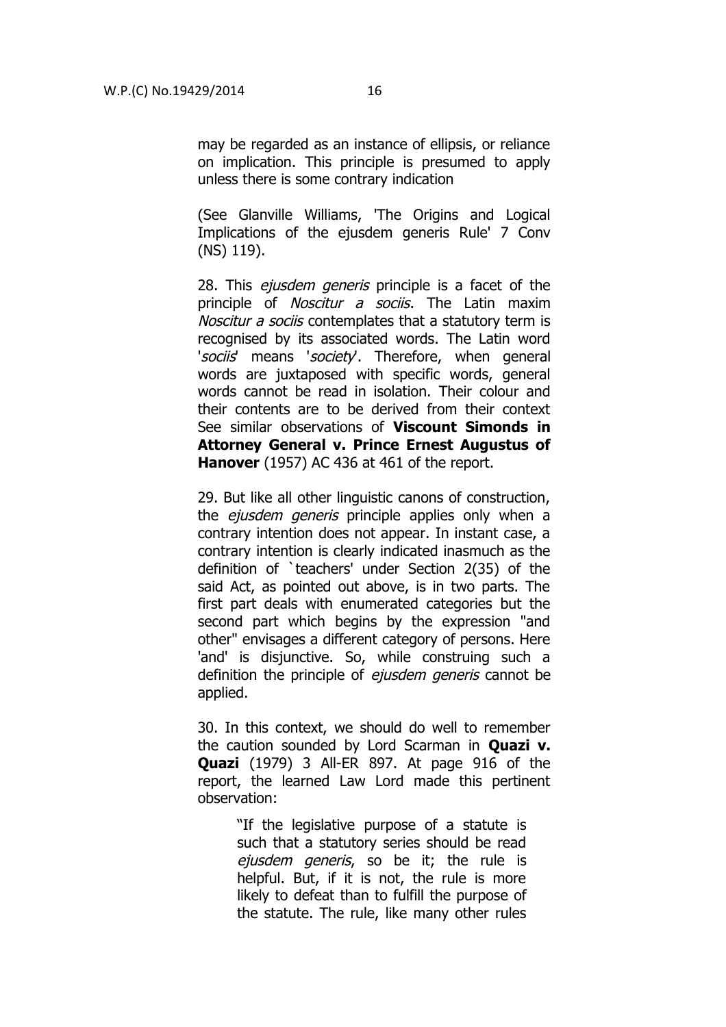may be regarded as an instance of ellipsis, or reliance on implication. This principle is presumed to apply unless there is some contrary indication

(See Glanville Williams, 'The Origins and Logical Implications of the ejusdem generis Rule' 7 Conv (NS) 119).

28. This *ejusdem generis* principle is a facet of the principle of *Noscitur a sociis*. The Latin maxim Noscitur a sociis contemplates that a statutory term is recognised by its associated words. The Latin word 'sociis' means 'society'. Therefore, when general words are juxtaposed with specific words, general words cannot be read in isolation. Their colour and their contents are to be derived from their context See similar observations of **Viscount Simonds in Attorney General v. Prince Ernest Augustus of Hanover** (1957) AC 436 at 461 of the report.

29. But like all other linguistic canons of construction, the *ejusdem generis* principle applies only when a contrary intention does not appear. In instant case, a contrary intention is clearly indicated inasmuch as the definition of `teachers' under Section 2(35) of the said Act, as pointed out above, is in two parts. The first part deals with enumerated categories but the second part which begins by the expression "and other" envisages a different category of persons. Here 'and' is disjunctive. So, while construing such a definition the principle of *ejusdem generis* cannot be applied.

30. In this context, we should do well to remember the caution sounded by Lord Scarman in **Quazi v. Quazi** (1979) 3 All-ER 897. At page 916 of the report, the learned Law Lord made this pertinent observation:

> "If the legislative purpose of a statute is such that a statutory series should be read ejusdem generis, so be it; the rule is helpful. But, if it is not, the rule is more likely to defeat than to fulfill the purpose of the statute. The rule, like many other rules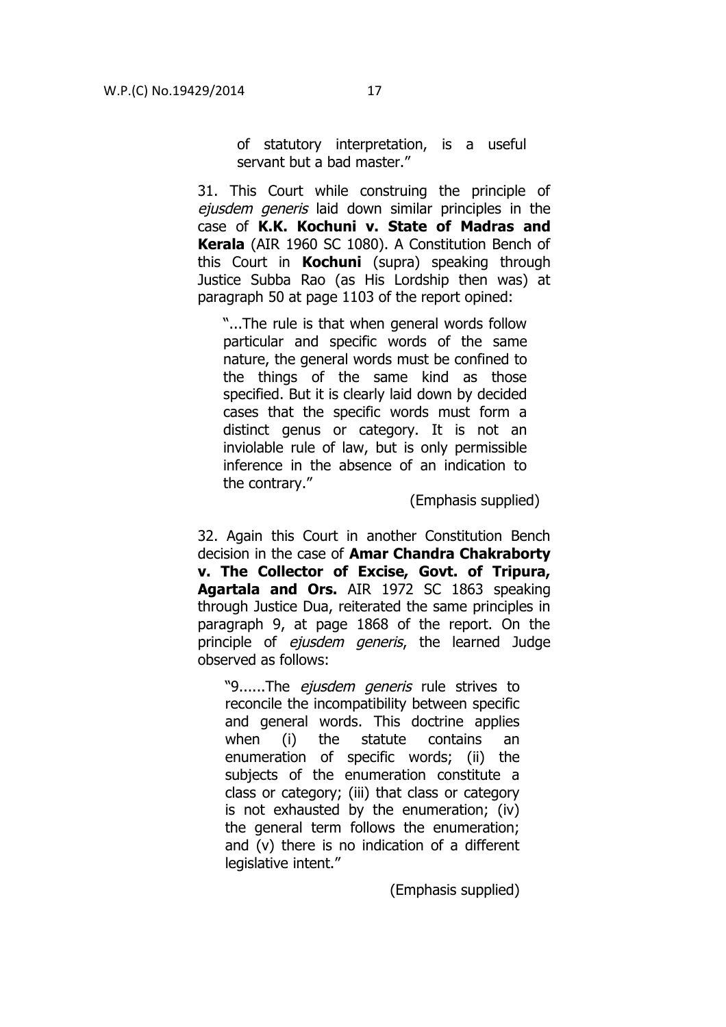of statutory interpretation, is a useful servant but a bad master."

31. This Court while construing the principle of ejusdem generis laid down similar principles in the case of **K.K. Kochuni v. State of Madras and Kerala** (AIR 1960 SC 1080). A Constitution Bench of this Court in **Kochuni** (supra) speaking through Justice Subba Rao (as His Lordship then was) at paragraph 50 at page 1103 of the report opined:

"...The rule is that when general words follow particular and specific words of the same nature, the general words must be confined to the things of the same kind as those specified. But it is clearly laid down by decided cases that the specific words must form a distinct genus or category. It is not an inviolable rule of law, but is only permissible inference in the absence of an indication to the contrary."

(Emphasis supplied)

32. Again this Court in another Constitution Bench decision in the case of **Amar Chandra Chakraborty v. The Collector of Excise, Govt. of Tripura, Agartala and Ors.** AIR 1972 SC 1863 speaking through Justice Dua, reiterated the same principles in paragraph 9, at page 1868 of the report. On the principle of *ejusdem generis*, the learned Judge observed as follows:

"9......The *ejusdem generis* rule strives to reconcile the incompatibility between specific and general words. This doctrine applies when (i) the statute contains an enumeration of specific words; (ii) the subjects of the enumeration constitute a class or category; (iii) that class or category is not exhausted by the enumeration; (iv) the general term follows the enumeration; and (v) there is no indication of a different legislative intent."

(Emphasis supplied)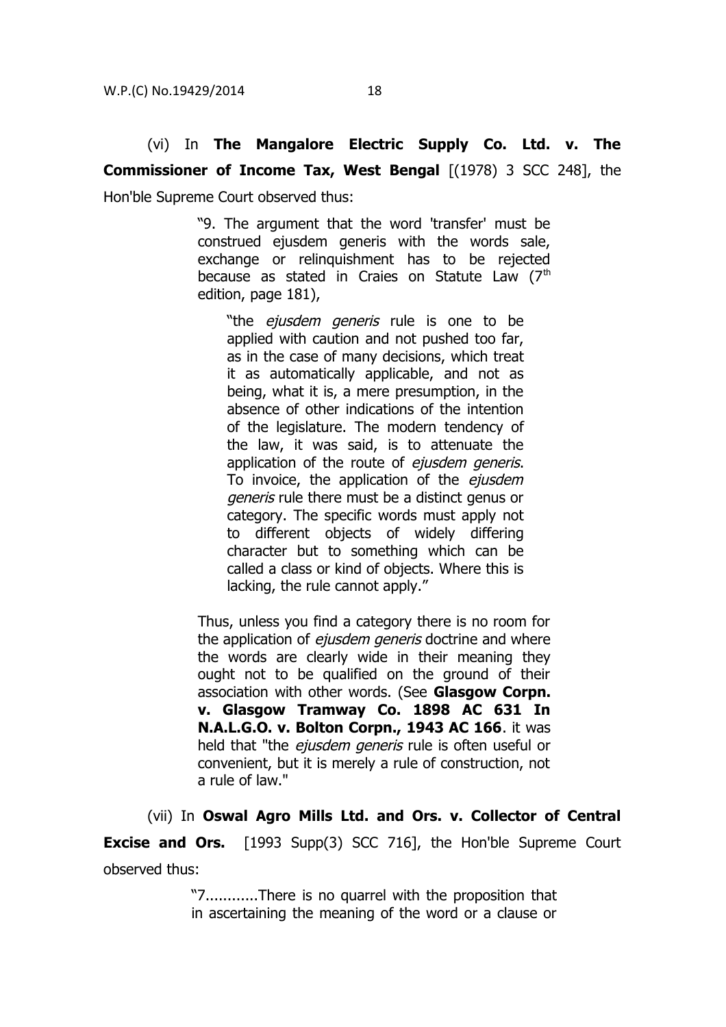"9. The argument that the word 'transfer' must be construed ejusdem generis with the words sale, exchange or relinquishment has to be rejected because as stated in Craies on Statute Law  $(7<sup>th</sup>)$ edition, page 181),

"the *ejusdem generis* rule is one to be applied with caution and not pushed too far, as in the case of many decisions, which treat it as automatically applicable, and not as being, what it is, a mere presumption, in the absence of other indications of the intention of the legislature. The modern tendency of the law, it was said, is to attenuate the application of the route of ejusdem generis. To invoice, the application of the ejusdem generis rule there must be a distinct genus or category. The specific words must apply not to different objects of widely differing character but to something which can be called a class or kind of objects. Where this is lacking, the rule cannot apply."

Thus, unless you find a category there is no room for the application of *ejusdem generis* doctrine and where the words are clearly wide in their meaning they ought not to be qualified on the ground of their association with other words. (See **Glasgow Corpn. v. Glasgow Tramway Co. 1898 AC 631 In N.A.L.G.O. v. Bolton Corpn., 1943 AC 166**. it was held that "the ejusdem generis rule is often useful or convenient, but it is merely a rule of construction, not a rule of law."

(vii) In **Oswal Agro Mills Ltd. and Ors. v. Collector of Central Excise and Ors.** [1993 Supp(3) SCC 716], the Hon'ble Supreme Court observed thus:

> "7............There is no quarrel with the proposition that in ascertaining the meaning of the word or a clause or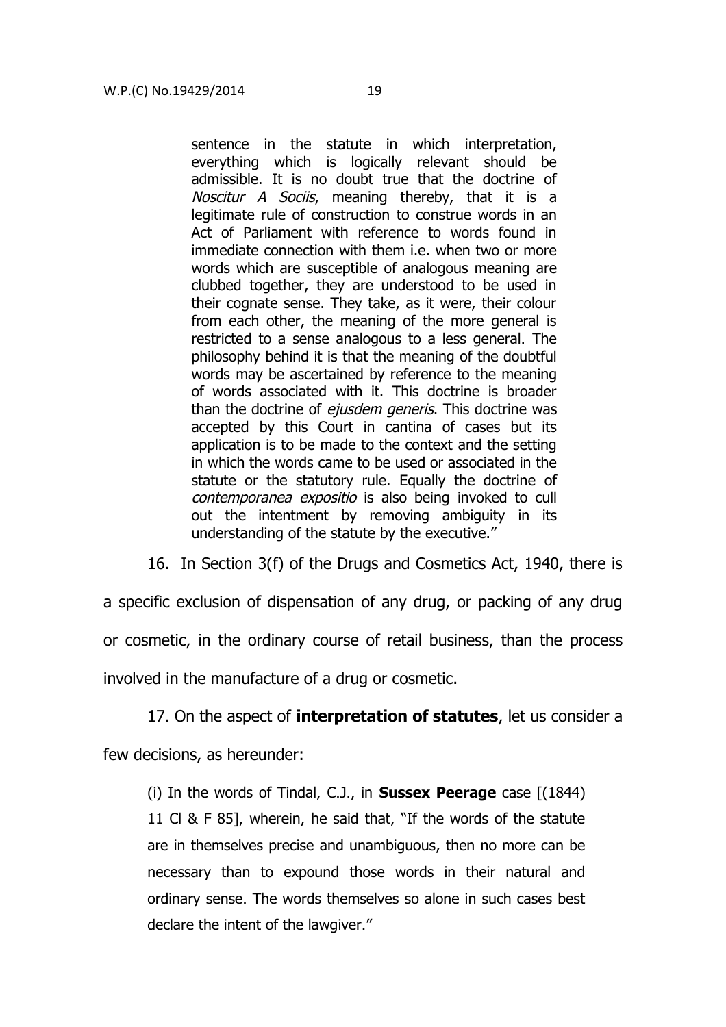sentence in the statute in which interpretation, everything which is logically relevant should be admissible. It is no doubt true that the doctrine of Noscitur A Sociis, meaning thereby, that it is a legitimate rule of construction to construe words in an Act of Parliament with reference to words found in immediate connection with them i.e. when two or more words which are susceptible of analogous meaning are clubbed together, they are understood to be used in their cognate sense. They take, as it were, their colour from each other, the meaning of the more general is restricted to a sense analogous to a less general. The philosophy behind it is that the meaning of the doubtful words may be ascertained by reference to the meaning of words associated with it. This doctrine is broader than the doctrine of *eiusdem generis*. This doctrine was accepted by this Court in cantina of cases but its application is to be made to the context and the setting in which the words came to be used or associated in the statute or the statutory rule. Equally the doctrine of contemporanea expositio is also being invoked to cull out the intentment by removing ambiguity in its understanding of the statute by the executive."

16. In Section 3(f) of the Drugs and Cosmetics Act, 1940, there is

a specific exclusion of dispensation of any drug, or packing of any drug or cosmetic, in the ordinary course of retail business, than the process involved in the manufacture of a drug or cosmetic.

17. On the aspect of **interpretation of statutes**, let us consider a

few decisions, as hereunder:

(i) In the words of Tindal, C.J., in **Sussex Peerage** case [(1844) 11 Cl & F 85], wherein, he said that, "If the words of the statute are in themselves precise and unambiguous, then no more can be necessary than to expound those words in their natural and ordinary sense. The words themselves so alone in such cases best declare the intent of the lawgiver."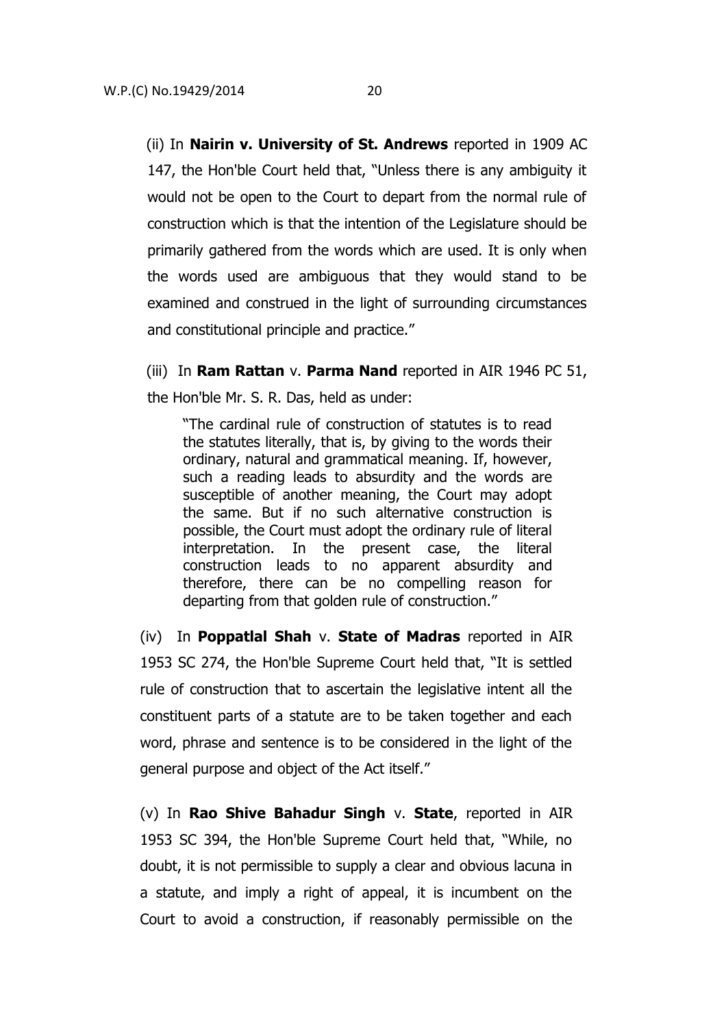(ii) In **Nairin v. University of St. Andrews** reported in 1909 AC 147, the Hon'ble Court held that, "Unless there is any ambiguity it would not be open to the Court to depart from the normal rule of construction which is that the intention of the Legislature should be primarily gathered from the words which are used. It is only when the words used are ambiguous that they would stand to be examined and construed in the light of surrounding circumstances and constitutional principle and practice."

(iii) In **Ram Rattan** v. **Parma Nand** reported in AIR 1946 PC 51, the Hon'ble Mr. S. R. Das, held as under:

"The cardinal rule of construction of statutes is to read the statutes literally, that is, by giving to the words their ordinary, natural and grammatical meaning. If, however, such a reading leads to absurdity and the words are susceptible of another meaning, the Court may adopt the same. But if no such alternative construction is possible, the Court must adopt the ordinary rule of literal interpretation. In the present case, the literal construction leads to no apparent absurdity and therefore, there can be no compelling reason for departing from that golden rule of construction."

(iv) In **Poppatlal Shah** v. **State of Madras** reported in AIR 1953 SC 274, the Hon'ble Supreme Court held that, "It is settled rule of construction that to ascertain the legislative intent all the constituent parts of a statute are to be taken together and each word, phrase and sentence is to be considered in the light of the general purpose and object of the Act itself."

(v) In **Rao Shive Bahadur Singh** v. **State**, reported in AIR 1953 SC 394, the Hon'ble Supreme Court held that, "While, no doubt, it is not permissible to supply a clear and obvious lacuna in a statute, and imply a right of appeal, it is incumbent on the Court to avoid a construction, if reasonably permissible on the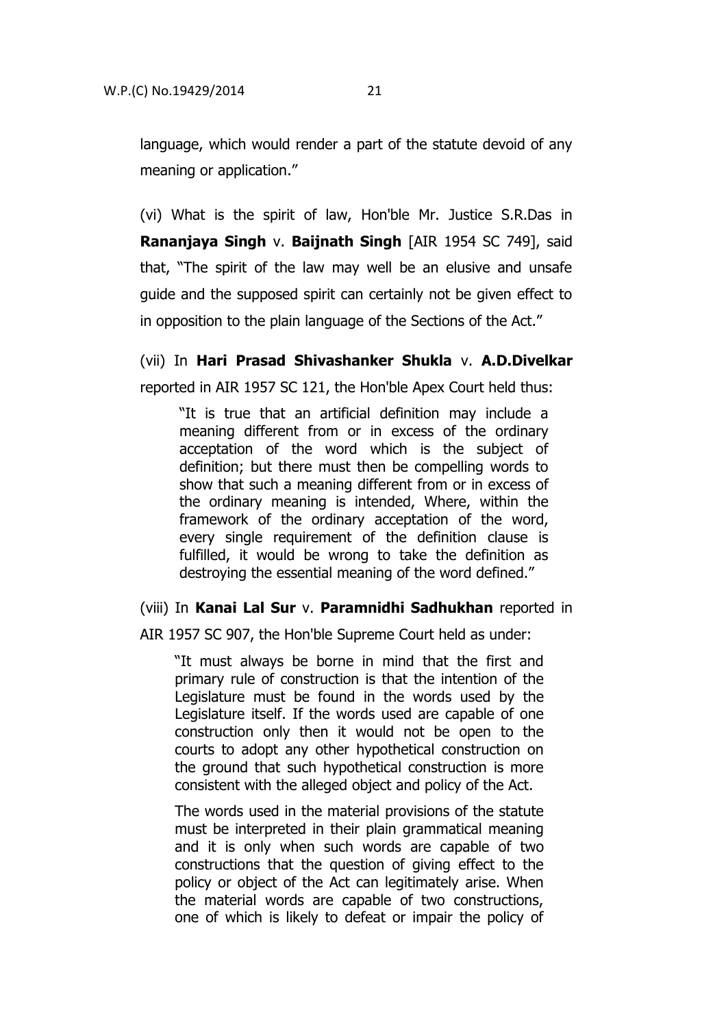language, which would render a part of the statute devoid of any meaning or application."

(vi) What is the spirit of law, Hon'ble Mr. Justice S.R.Das in **Rananjaya Singh** v. **Baijnath Singh** [AIR 1954 SC 749], said that, "The spirit of the law may well be an elusive and unsafe guide and the supposed spirit can certainly not be given effect to in opposition to the plain language of the Sections of the Act."

(vii) In **Hari Prasad Shivashanker Shukla** v. **A.D.Divelkar** reported in AIR 1957 SC 121, the Hon'ble Apex Court held thus:

"It is true that an artificial definition may include a meaning different from or in excess of the ordinary acceptation of the word which is the subject of definition; but there must then be compelling words to show that such a meaning different from or in excess of the ordinary meaning is intended, Where, within the framework of the ordinary acceptation of the word, every single requirement of the definition clause is fulfilled, it would be wrong to take the definition as destroying the essential meaning of the word defined."

(viii) In **Kanai Lal Sur** v. **Paramnidhi Sadhukhan** reported in

AIR 1957 SC 907, the Hon'ble Supreme Court held as under:

"It must always be borne in mind that the first and primary rule of construction is that the intention of the Legislature must be found in the words used by the Legislature itself. If the words used are capable of one construction only then it would not be open to the courts to adopt any other hypothetical construction on the ground that such hypothetical construction is more consistent with the alleged object and policy of the Act.

The words used in the material provisions of the statute must be interpreted in their plain grammatical meaning and it is only when such words are capable of two constructions that the question of giving effect to the policy or object of the Act can legitimately arise. When the material words are capable of two constructions, one of which is likely to defeat or impair the policy of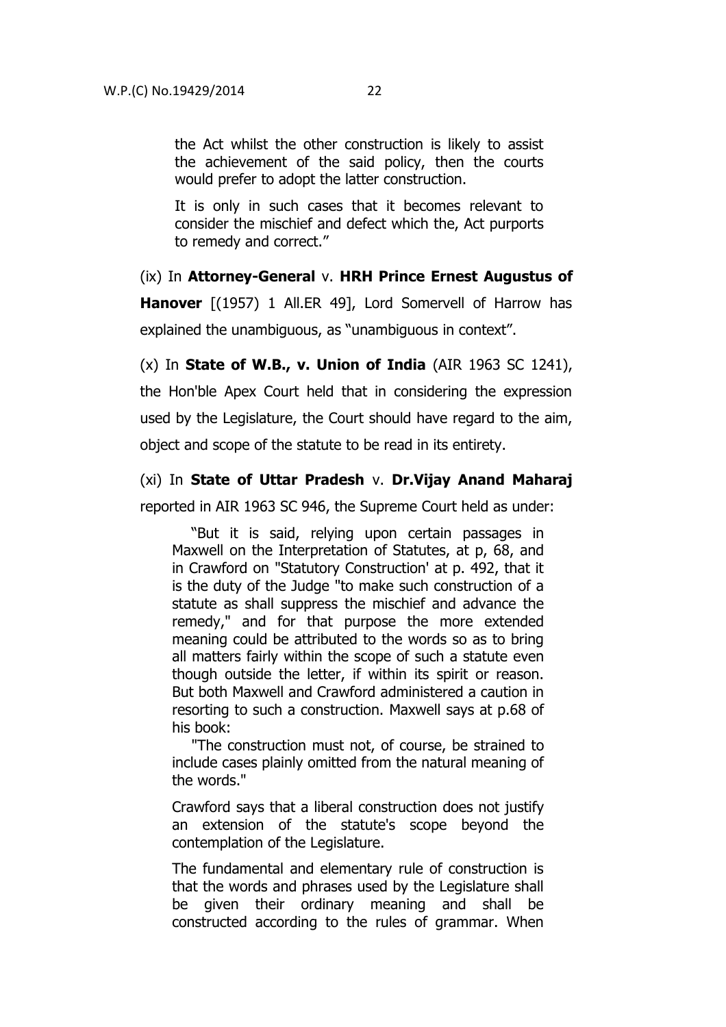the Act whilst the other construction is likely to assist the achievement of the said policy, then the courts would prefer to adopt the latter construction.

It is only in such cases that it becomes relevant to consider the mischief and defect which the, Act purports to remedy and correct."

(ix) In **Attorney-General** v. **HRH Prince Ernest Augustus of Hanover** [(1957) 1 All.ER 49], Lord Somervell of Harrow has explained the unambiguous, as "unambiguous in context".

(x) In **State of W.B., v. Union of India** (AIR 1963 SC 1241), the Hon'ble Apex Court held that in considering the expression used by the Legislature, the Court should have regard to the aim, object and scope of the statute to be read in its entirety.

(xi) In **State of Uttar Pradesh** v. **Dr.Vijay Anand Maharaj** reported in AIR 1963 SC 946, the Supreme Court held as under:

"But it is said, relying upon certain passages in Maxwell on the Interpretation of Statutes, at p, 68, and in Crawford on "Statutory Construction' at p. 492, that it is the duty of the Judge "to make such construction of a statute as shall suppress the mischief and advance the remedy," and for that purpose the more extended meaning could be attributed to the words so as to bring all matters fairly within the scope of such a statute even though outside the letter, if within its spirit or reason. But both Maxwell and Crawford administered a caution in resorting to such a construction. Maxwell says at p.68 of his book:

"The construction must not, of course, be strained to include cases plainly omitted from the natural meaning of the words."

Crawford says that a liberal construction does not justify an extension of the statute's scope beyond the contemplation of the Legislature.

The fundamental and elementary rule of construction is that the words and phrases used by the Legislature shall be given their ordinary meaning and shall be constructed according to the rules of grammar. When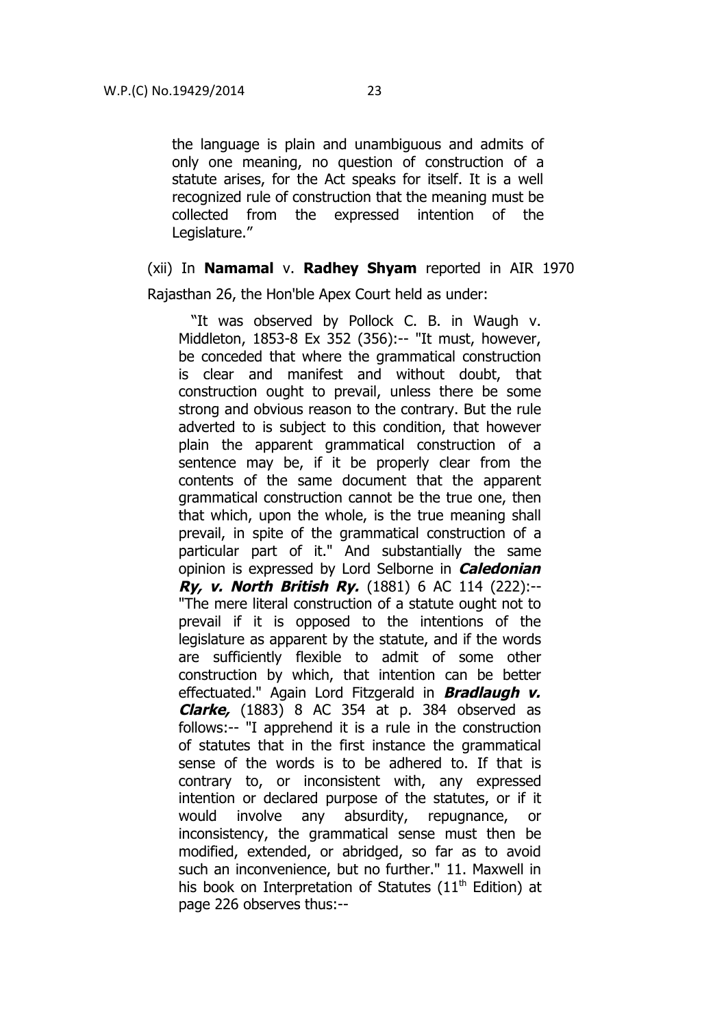the language is plain and unambiguous and admits of only one meaning, no question of construction of a statute arises, for the Act speaks for itself. It is a well recognized rule of construction that the meaning must be collected from the expressed intention of the Legislature."

# (xii) In **Namamal** v. **Radhey Shyam** reported in AIR 1970

Rajasthan 26, the Hon'ble Apex Court held as under:

"It was observed by Pollock C. B. in Waugh v. Middleton, 1853-8 Ex 352 (356):-- "It must, however, be conceded that where the grammatical construction is clear and manifest and without doubt, that construction ought to prevail, unless there be some strong and obvious reason to the contrary. But the rule adverted to is subject to this condition, that however plain the apparent grammatical construction of a sentence may be, if it be properly clear from the contents of the same document that the apparent grammatical construction cannot be the true one, then that which, upon the whole, is the true meaning shall prevail, in spite of the grammatical construction of a particular part of it." And substantially the same opinion is expressed by Lord Selborne in **Caledonian Ry, v. North British Ry.** (1881) 6 AC 114 (222):-- "The mere literal construction of a statute ought not to prevail if it is opposed to the intentions of the legislature as apparent by the statute, and if the words are sufficiently flexible to admit of some other construction by which, that intention can be better effectuated." Again Lord Fitzgerald in **Bradlaugh v. Clarke,** (1883) 8 AC 354 at p. 384 observed as follows:-- "I apprehend it is a rule in the construction of statutes that in the first instance the grammatical sense of the words is to be adhered to. If that is contrary to, or inconsistent with, any expressed intention or declared purpose of the statutes, or if it would involve any absurdity, repugnance, or inconsistency, the grammatical sense must then be modified, extended, or abridged, so far as to avoid such an inconvenience, but no further." 11. Maxwell in his book on Interpretation of Statutes ( $11<sup>th</sup>$  Edition) at page 226 observes thus:--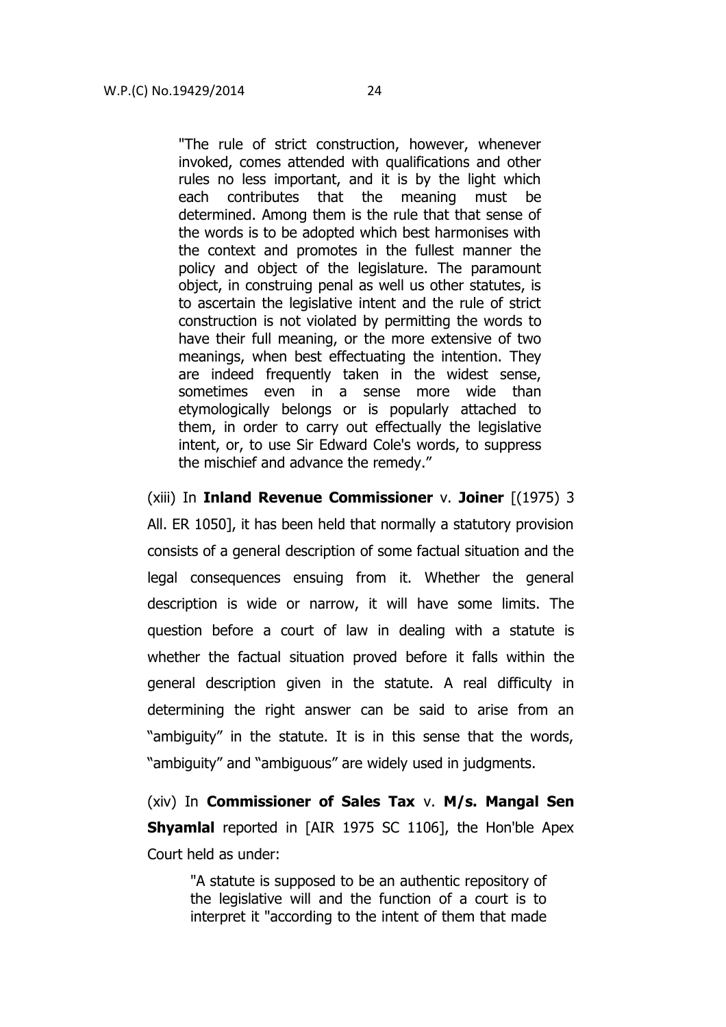"The rule of strict construction, however, whenever invoked, comes attended with qualifications and other rules no less important, and it is by the light which each contributes that the meaning must be determined. Among them is the rule that that sense of the words is to be adopted which best harmonises with the context and promotes in the fullest manner the policy and object of the legislature. The paramount object, in construing penal as well us other statutes, is to ascertain the legislative intent and the rule of strict construction is not violated by permitting the words to have their full meaning, or the more extensive of two meanings, when best effectuating the intention. They are indeed frequently taken in the widest sense, sometimes even in a sense more wide than etymologically belongs or is popularly attached to them, in order to carry out effectually the legislative intent, or, to use Sir Edward Cole's words, to suppress the mischief and advance the remedy."

(xiii) In **Inland Revenue Commissioner** v. **Joiner** [(1975) 3 All. ER 1050], it has been held that normally a statutory provision consists of a general description of some factual situation and the legal consequences ensuing from it. Whether the general description is wide or narrow, it will have some limits. The question before a court of law in dealing with a statute is whether the factual situation proved before it falls within the general description given in the statute. A real difficulty in determining the right answer can be said to arise from an "ambiguity" in the statute. It is in this sense that the words, "ambiguity" and "ambiguous" are widely used in judgments.

(xiv) In **Commissioner of Sales Tax** v. **M/s. Mangal Sen Shyamlal** reported in [AIR 1975 SC 1106], the Hon'ble Apex Court held as under:

"A statute is supposed to be an authentic repository of the legislative will and the function of a court is to interpret it "according to the intent of them that made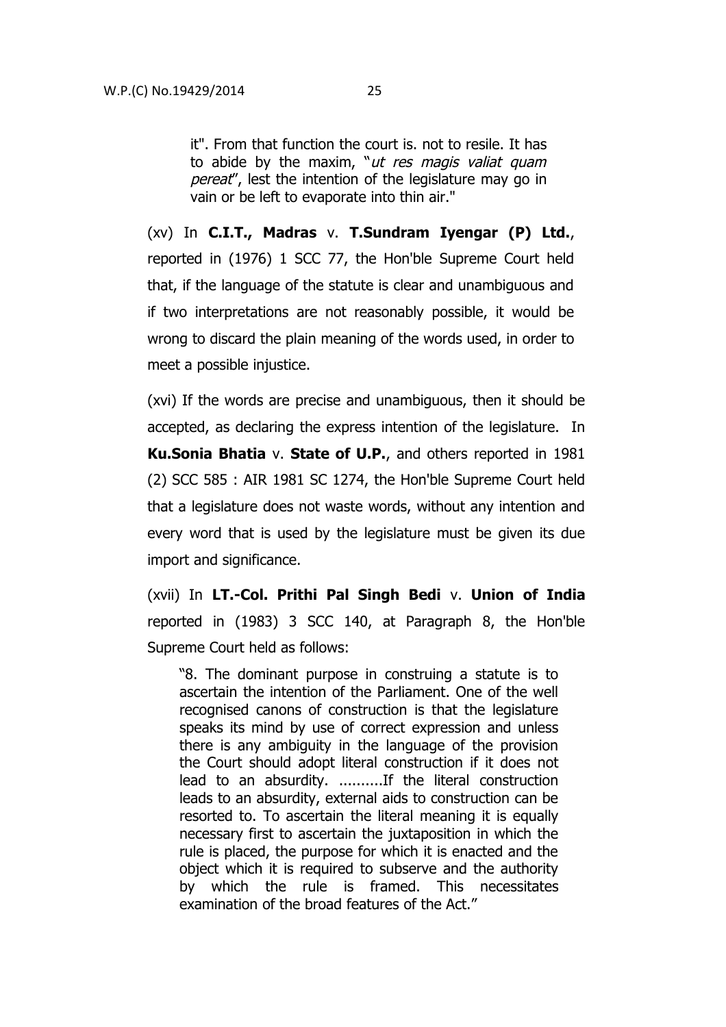it". From that function the court is. not to resile. It has to abide by the maxim, " $ut$  res magis valiat quam pereat", lest the intention of the legislature may go in vain or be left to evaporate into thin air."

(xv) In **C.I.T., Madras** v. **T.Sundram Iyengar (P) Ltd.**, reported in (1976) 1 SCC 77, the Hon'ble Supreme Court held that, if the language of the statute is clear and unambiguous and if two interpretations are not reasonably possible, it would be wrong to discard the plain meaning of the words used, in order to meet a possible injustice.

(xvi) If the words are precise and unambiguous, then it should be accepted, as declaring the express intention of the legislature. In **Ku.Sonia Bhatia** v. **State of U.P.**, and others reported in 1981 (2) SCC 585 : AIR 1981 SC 1274, the Hon'ble Supreme Court held that a legislature does not waste words, without any intention and every word that is used by the legislature must be given its due import and significance.

(xvii) In **LT.-Col. Prithi Pal Singh Bedi** v. **Union of India** reported in (1983) 3 SCC 140, at Paragraph 8, the Hon'ble Supreme Court held as follows:

"8. The dominant purpose in construing a statute is to ascertain the intention of the Parliament. One of the well recognised canons of construction is that the legislature speaks its mind by use of correct expression and unless there is any ambiguity in the language of the provision the Court should adopt literal construction if it does not lead to an absurdity. ..........If the literal construction leads to an absurdity, external aids to construction can be resorted to. To ascertain the literal meaning it is equally necessary first to ascertain the juxtaposition in which the rule is placed, the purpose for which it is enacted and the object which it is required to subserve and the authority by which the rule is framed. This necessitates examination of the broad features of the Act."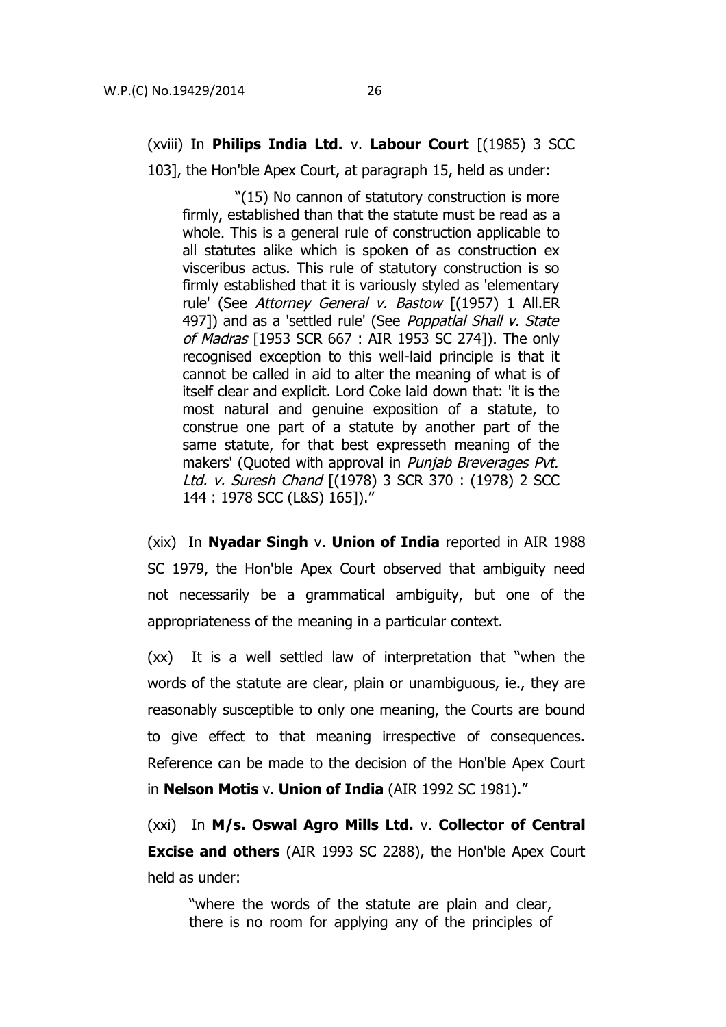# (xviii) In **Philips India Ltd.** v. **Labour Court** [(1985) 3 SCC

103], the Hon'ble Apex Court, at paragraph 15, held as under:

 "(15) No cannon of statutory construction is more firmly, established than that the statute must be read as a whole. This is a general rule of construction applicable to all statutes alike which is spoken of as construction ex visceribus actus. This rule of statutory construction is so firmly established that it is variously styled as 'elementary rule' (See Attorney General v. Bastow [(1957) 1 All.ER 497]) and as a 'settled rule' (See Poppatlal Shall v. State of Madras [1953 SCR 667 : AIR 1953 SC 274]). The only recognised exception to this well-laid principle is that it cannot be called in aid to alter the meaning of what is of itself clear and explicit. Lord Coke laid down that: 'it is the most natural and genuine exposition of a statute, to construe one part of a statute by another part of the same statute, for that best expresseth meaning of the makers' (Quoted with approval in *Punjab Breverages Pvt.* Ltd. v. Suresh Chand [(1978) 3 SCR 370 : (1978) 2 SCC 144 : 1978 SCC (L&S) 165])."

(xix) In **Nyadar Singh** v. **Union of India** reported in AIR 1988 SC 1979, the Hon'ble Apex Court observed that ambiguity need not necessarily be a grammatical ambiguity, but one of the appropriateness of the meaning in a particular context.

(xx) It is a well settled law of interpretation that "when the words of the statute are clear, plain or unambiguous, ie., they are reasonably susceptible to only one meaning, the Courts are bound to give effect to that meaning irrespective of consequences. Reference can be made to the decision of the Hon'ble Apex Court in **Nelson Motis** v. **Union of India** (AIR 1992 SC 1981)."

(xxi) In **M/s. Oswal Agro Mills Ltd.** v. **Collector of Central Excise and others** (AIR 1993 SC 2288), the Hon'ble Apex Court held as under:

"where the words of the statute are plain and clear, there is no room for applying any of the principles of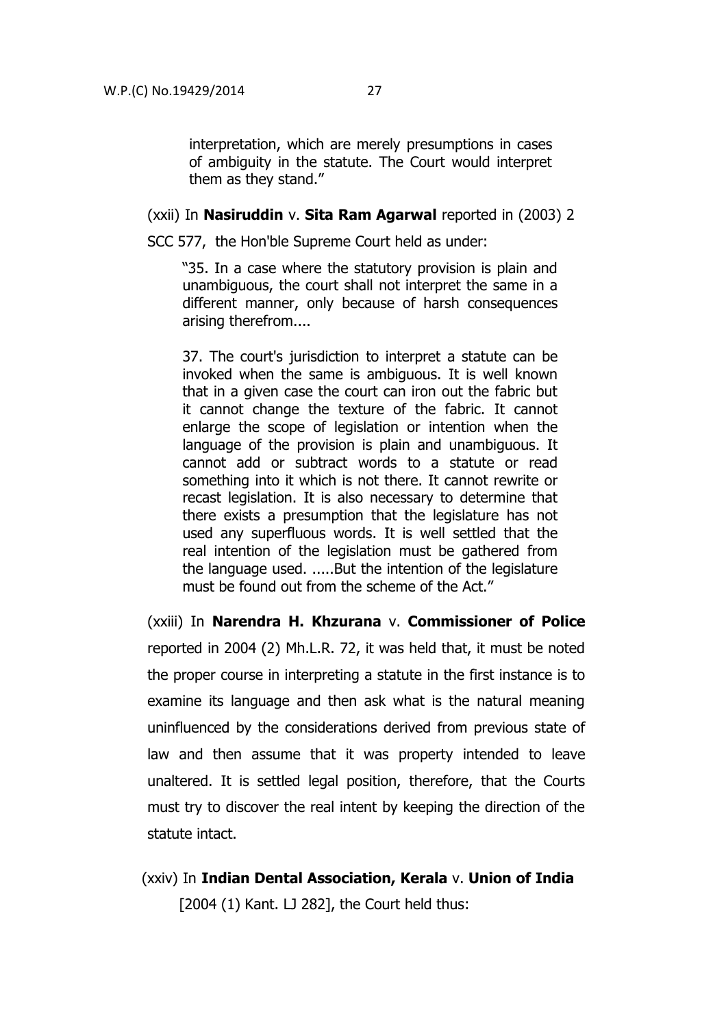interpretation, which are merely presumptions in cases of ambiguity in the statute. The Court would interpret them as they stand."

#### (xxii) In **Nasiruddin** v. **Sita Ram Agarwal** reported in (2003) 2

SCC 577, the Hon'ble Supreme Court held as under:

"35. In a case where the statutory provision is plain and unambiguous, the court shall not interpret the same in a different manner, only because of harsh consequences arising therefrom....

37. The court's jurisdiction to interpret a statute can be invoked when the same is ambiguous. It is well known that in a given case the court can iron out the fabric but it cannot change the texture of the fabric. It cannot enlarge the scope of legislation or intention when the language of the provision is plain and unambiguous. It cannot add or subtract words to a statute or read something into it which is not there. It cannot rewrite or recast legislation. It is also necessary to determine that there exists a presumption that the legislature has not used any superfluous words. It is well settled that the real intention of the legislation must be gathered from the language used. .....But the intention of the legislature must be found out from the scheme of the Act."

(xxiii) In **Narendra H. Khzurana** v. **Commissioner of Police** reported in 2004 (2) Mh.L.R. 72, it was held that, it must be noted the proper course in interpreting a statute in the first instance is to examine its language and then ask what is the natural meaning uninfluenced by the considerations derived from previous state of law and then assume that it was property intended to leave unaltered. It is settled legal position, therefore, that the Courts must try to discover the real intent by keeping the direction of the statute intact.

(xxiv) In **Indian Dental Association, Kerala** v. **Union of India**  $[2004 (1)$  Kant. LJ 282], the Court held thus: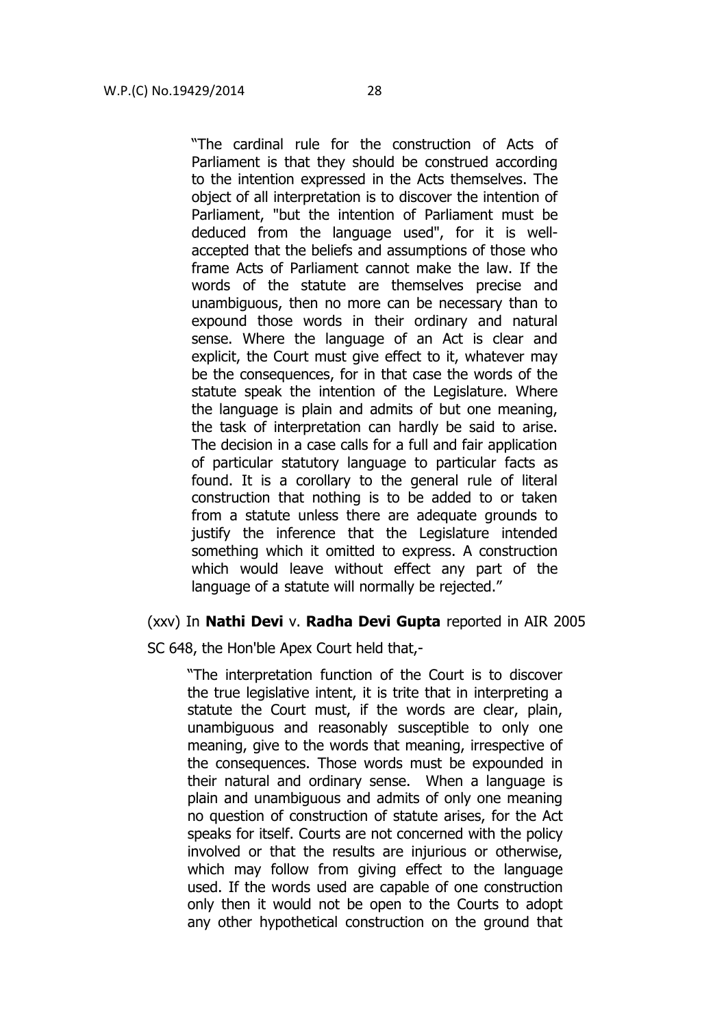"The cardinal rule for the construction of Acts of Parliament is that they should be construed according to the intention expressed in the Acts themselves. The object of all interpretation is to discover the intention of Parliament, "but the intention of Parliament must be deduced from the language used", for it is wellaccepted that the beliefs and assumptions of those who frame Acts of Parliament cannot make the law. If the words of the statute are themselves precise and unambiguous, then no more can be necessary than to expound those words in their ordinary and natural sense. Where the language of an Act is clear and explicit, the Court must give effect to it, whatever may be the consequences, for in that case the words of the statute speak the intention of the Legislature. Where the language is plain and admits of but one meaning, the task of interpretation can hardly be said to arise. The decision in a case calls for a full and fair application of particular statutory language to particular facts as found. It is a corollary to the general rule of literal construction that nothing is to be added to or taken from a statute unless there are adequate grounds to justify the inference that the Legislature intended something which it omitted to express. A construction which would leave without effect any part of the language of a statute will normally be rejected."

# (xxv) In **Nathi Devi** v. **Radha Devi Gupta** reported in AIR 2005

SC 648, the Hon'ble Apex Court held that,-

"The interpretation function of the Court is to discover the true legislative intent, it is trite that in interpreting a statute the Court must, if the words are clear, plain, unambiguous and reasonably susceptible to only one meaning, give to the words that meaning, irrespective of the consequences. Those words must be expounded in their natural and ordinary sense. When a language is plain and unambiguous and admits of only one meaning no question of construction of statute arises, for the Act speaks for itself. Courts are not concerned with the policy involved or that the results are injurious or otherwise, which may follow from giving effect to the language used. If the words used are capable of one construction only then it would not be open to the Courts to adopt any other hypothetical construction on the ground that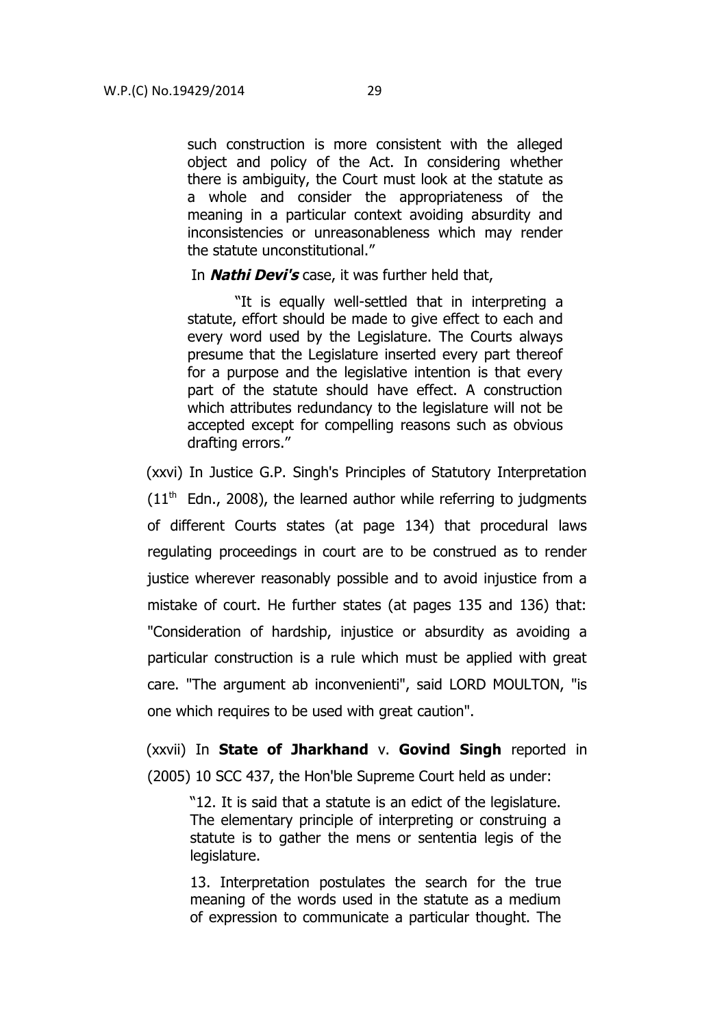such construction is more consistent with the alleged object and policy of the Act. In considering whether there is ambiguity, the Court must look at the statute as a whole and consider the appropriateness of the meaning in a particular context avoiding absurdity and inconsistencies or unreasonableness which may render the statute unconstitutional."

In **Nathi Devi's** case, it was further held that,

"It is equally well-settled that in interpreting a statute, effort should be made to give effect to each and every word used by the Legislature. The Courts always presume that the Legislature inserted every part thereof for a purpose and the legislative intention is that every part of the statute should have effect. A construction which attributes redundancy to the legislature will not be accepted except for compelling reasons such as obvious drafting errors."

(xxvi) In Justice G.P. Singh's Principles of Statutory Interpretation  $(11<sup>th</sup>$  Edn., 2008), the learned author while referring to judgments of different Courts states (at page 134) that procedural laws regulating proceedings in court are to be construed as to render justice wherever reasonably possible and to avoid injustice from a mistake of court. He further states (at pages 135 and 136) that: "Consideration of hardship, injustice or absurdity as avoiding a particular construction is a rule which must be applied with great care. "The argument ab inconvenienti", said LORD MOULTON, "is one which requires to be used with great caution".

(xxvii) In **State of Jharkhand** v. **Govind Singh** reported in (2005) 10 SCC 437, the Hon'ble Supreme Court held as under:

"12. It is said that a statute is an edict of the legislature. The elementary principle of interpreting or construing a statute is to gather the mens or sententia legis of the legislature.

13. Interpretation postulates the search for the true meaning of the words used in the statute as a medium of expression to communicate a particular thought. The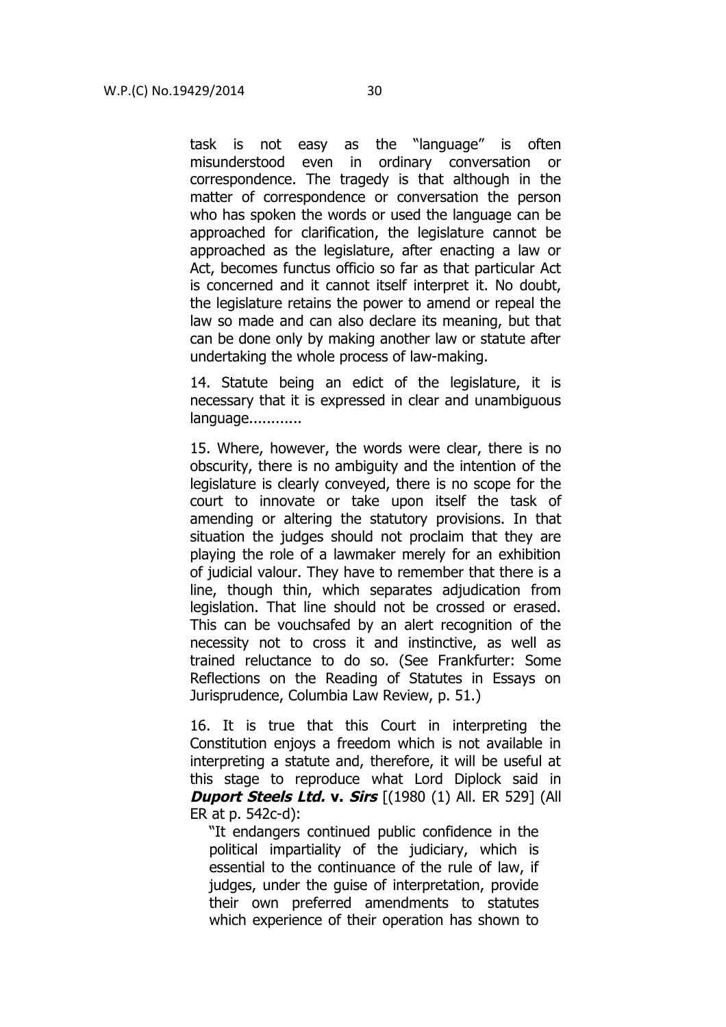task is not easy as the "language" is often misunderstood even in ordinary conversation or correspondence. The tragedy is that although in the matter of correspondence or conversation the person who has spoken the words or used the language can be approached for clarification, the legislature cannot be approached as the legislature, after enacting a law or Act, becomes functus officio so far as that particular Act is concerned and it cannot itself interpret it. No doubt, the legislature retains the power to amend or repeal the law so made and can also declare its meaning, but that can be done only by making another law or statute after undertaking the whole process of law-making.

14. Statute being an edict of the legislature, it is necessary that it is expressed in clear and unambiguous language............

15. Where, however, the words were clear, there is no obscurity, there is no ambiguity and the intention of the legislature is clearly conveyed, there is no scope for the court to innovate or take upon itself the task of amending or altering the statutory provisions. In that situation the judges should not proclaim that they are playing the role of a lawmaker merely for an exhibition of judicial valour. They have to remember that there is a line, though thin, which separates adjudication from legislation. That line should not be crossed or erased. This can be vouchsafed by an alert recognition of the necessity not to cross it and instinctive, as well as trained reluctance to do so. (See Frankfurter: Some Reflections on the Reading of Statutes in Essays on Jurisprudence, Columbia Law Review, p. 51.)

16. It is true that this Court in interpreting the Constitution enjoys a freedom which is not available in interpreting a statute and, therefore, it will be useful at this stage to reproduce what Lord Diplock said in **Duport Steels Ltd. v. Sirs** [(1980 (1) All. ER 529] (All ER at p. 542c-d):

"It endangers continued public confidence in the political impartiality of the judiciary, which is essential to the continuance of the rule of law, if judges, under the guise of interpretation, provide their own preferred amendments to statutes which experience of their operation has shown to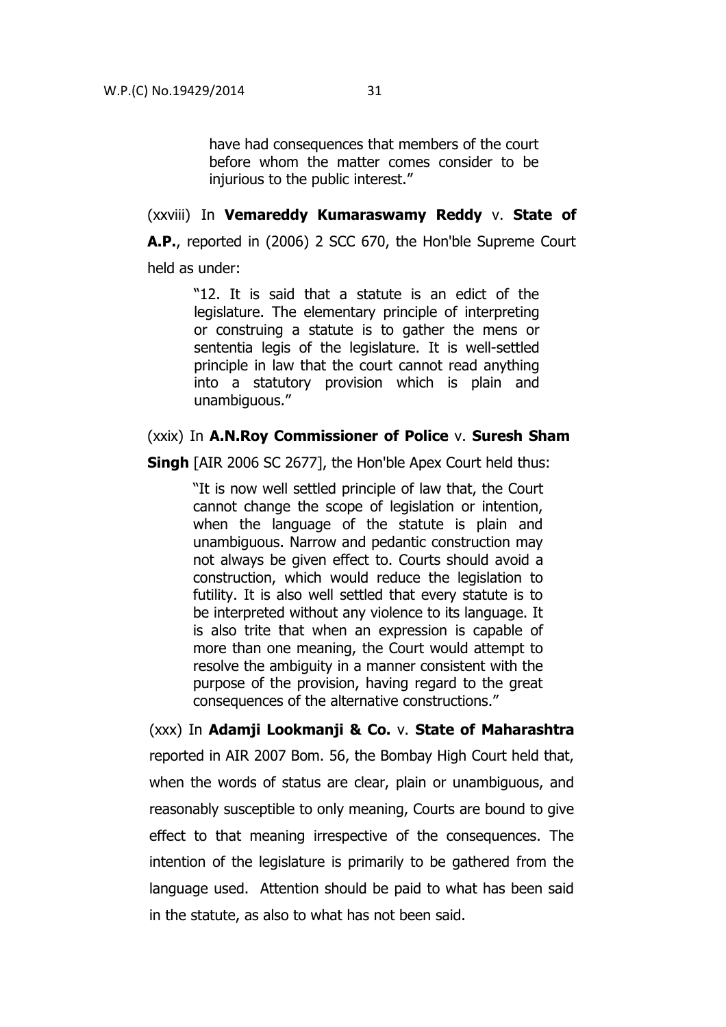have had consequences that members of the court before whom the matter comes consider to be injurious to the public interest."

# (xxviii) In **Vemareddy Kumaraswamy Reddy** v. **State of**

**A.P.**, reported in (2006) 2 SCC 670, the Hon'ble Supreme Court held as under:

> "12. It is said that a statute is an edict of the legislature. The elementary principle of interpreting or construing a statute is to gather the mens or sententia legis of the legislature. It is well-settled principle in law that the court cannot read anything into a statutory provision which is plain and unambiguous."

# (xxix) In **A.N.Roy Commissioner of Police** v. **Suresh Sham**

**Singh** [AIR 2006 SC 2677], the Hon'ble Apex Court held thus:

"It is now well settled principle of law that, the Court cannot change the scope of legislation or intention, when the language of the statute is plain and unambiguous. Narrow and pedantic construction may not always be given effect to. Courts should avoid a construction, which would reduce the legislation to futility. It is also well settled that every statute is to be interpreted without any violence to its language. It is also trite that when an expression is capable of more than one meaning, the Court would attempt to resolve the ambiguity in a manner consistent with the purpose of the provision, having regard to the great consequences of the alternative constructions."

(xxx) In **Adamji Lookmanji & Co.** v. **State of Maharashtra** reported in AIR 2007 Bom. 56, the Bombay High Court held that, when the words of status are clear, plain or unambiguous, and reasonably susceptible to only meaning, Courts are bound to give effect to that meaning irrespective of the consequences. The intention of the legislature is primarily to be gathered from the language used. Attention should be paid to what has been said in the statute, as also to what has not been said.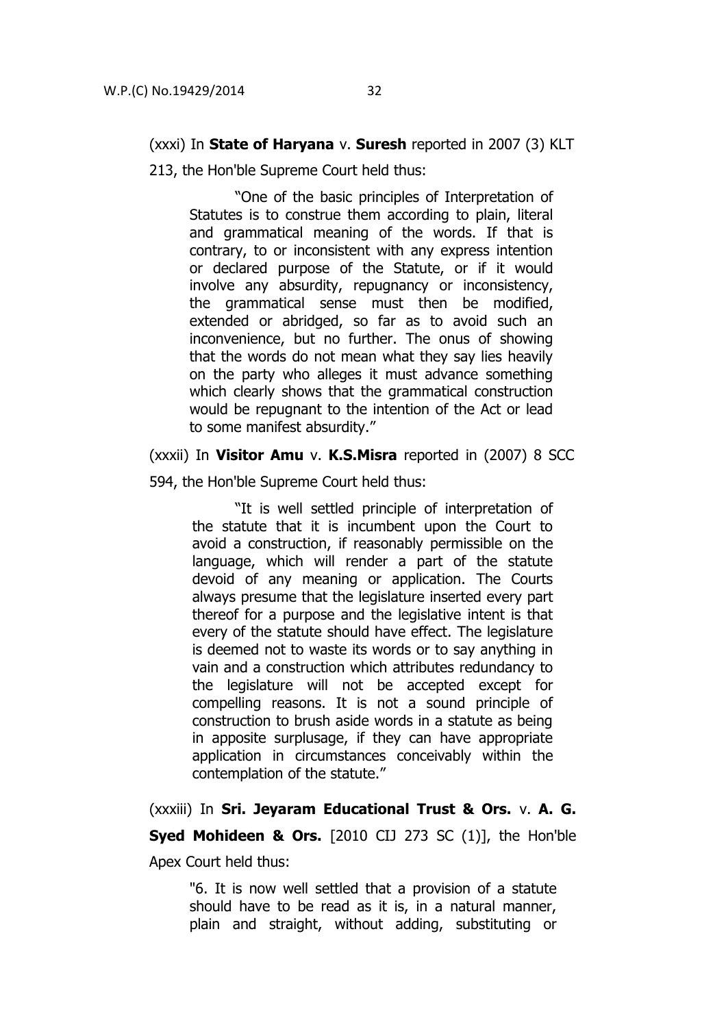### (xxxi) In **State of Haryana** v. **Suresh** reported in 2007 (3) KLT

213, the Hon'ble Supreme Court held thus:

"One of the basic principles of Interpretation of Statutes is to construe them according to plain, literal and grammatical meaning of the words. If that is contrary, to or inconsistent with any express intention or declared purpose of the Statute, or if it would involve any absurdity, repugnancy or inconsistency, the grammatical sense must then be modified, extended or abridged, so far as to avoid such an inconvenience, but no further. The onus of showing that the words do not mean what they say lies heavily on the party who alleges it must advance something which clearly shows that the grammatical construction would be repugnant to the intention of the Act or lead to some manifest absurdity."

(xxxii) In **Visitor Amu** v. **K.S.Misra** reported in (2007) 8 SCC

594, the Hon'ble Supreme Court held thus:

"It is well settled principle of interpretation of the statute that it is incumbent upon the Court to avoid a construction, if reasonably permissible on the language, which will render a part of the statute devoid of any meaning or application. The Courts always presume that the legislature inserted every part thereof for a purpose and the legislative intent is that every of the statute should have effect. The legislature is deemed not to waste its words or to say anything in vain and a construction which attributes redundancy to the legislature will not be accepted except for compelling reasons. It is not a sound principle of construction to brush aside words in a statute as being in apposite surplusage, if they can have appropriate application in circumstances conceivably within the contemplation of the statute."

(xxxiii) In **Sri. Jeyaram Educational Trust & Ors.** v. **A. G. Syed Mohideen & Ors.** [2010 CIJ 273 SC (1)], the Hon'ble Apex Court held thus:

"6. It is now well settled that a provision of a statute should have to be read as it is, in a natural manner, plain and straight, without adding, substituting or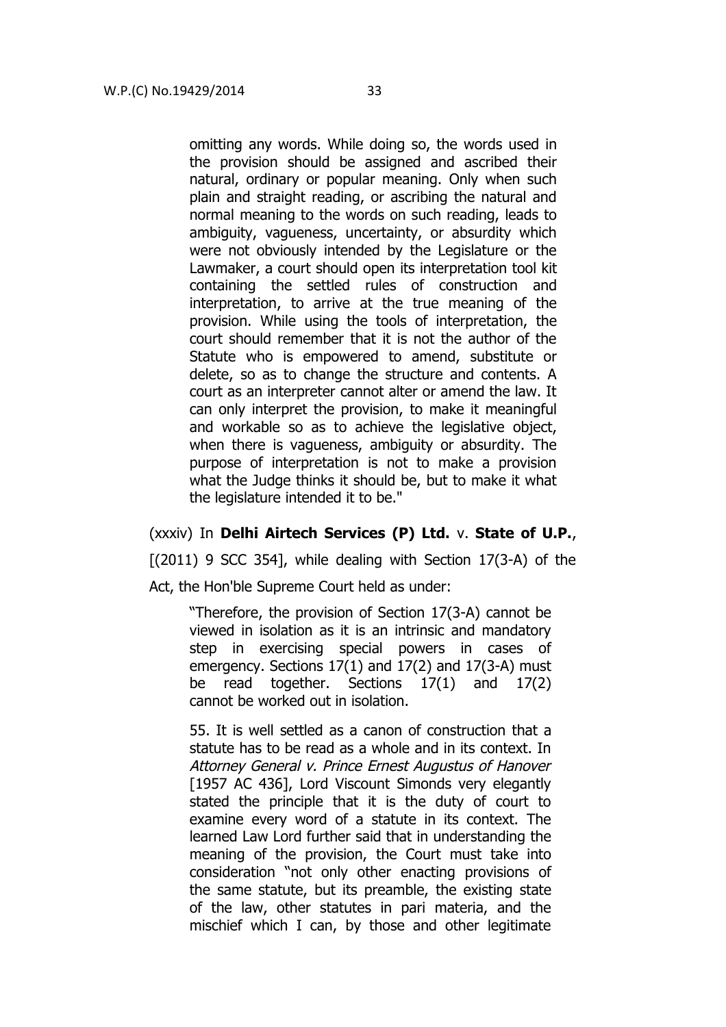omitting any words. While doing so, the words used in the provision should be assigned and ascribed their natural, ordinary or popular meaning. Only when such plain and straight reading, or ascribing the natural and normal meaning to the words on such reading, leads to ambiguity, vagueness, uncertainty, or absurdity which were not obviously intended by the Legislature or the Lawmaker, a court should open its interpretation tool kit containing the settled rules of construction and interpretation, to arrive at the true meaning of the provision. While using the tools of interpretation, the court should remember that it is not the author of the Statute who is empowered to amend, substitute or delete, so as to change the structure and contents. A court as an interpreter cannot alter or amend the law. It can only interpret the provision, to make it meaningful and workable so as to achieve the legislative object, when there is vagueness, ambiguity or absurdity. The purpose of interpretation is not to make a provision what the Judge thinks it should be, but to make it what the legislature intended it to be."

#### (xxxiv) In **Delhi Airtech Services (P) Ltd.** v. **State of U.P.**,

 $[(2011)$  9 SCC 3541, while dealing with Section 17(3-A) of the

Act, the Hon'ble Supreme Court held as under:

"Therefore, the provision of Section 17(3-A) cannot be viewed in isolation as it is an intrinsic and mandatory step in exercising special powers in cases of emergency. Sections 17(1) and 17(2) and 17(3-A) must be read together. Sections 17(1) and 17(2) cannot be worked out in isolation.

55. It is well settled as a canon of construction that a statute has to be read as a whole and in its context. In Attorney General v. Prince Ernest Augustus of Hanover [1957 AC 436], Lord Viscount Simonds very elegantly stated the principle that it is the duty of court to examine every word of a statute in its context. The learned Law Lord further said that in understanding the meaning of the provision, the Court must take into consideration "not only other enacting provisions of the same statute, but its preamble, the existing state of the law, other statutes in pari materia, and the mischief which I can, by those and other legitimate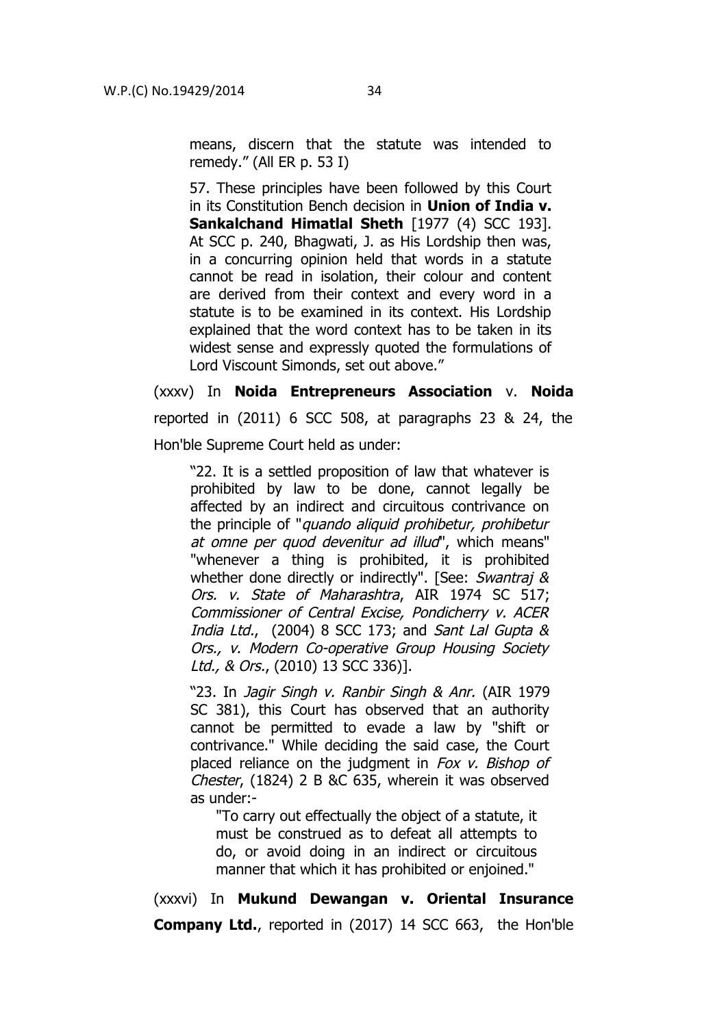means, discern that the statute was intended to remedy." (All ER p. 53 I)

57. These principles have been followed by this Court in its Constitution Bench decision in **Union of India v. Sankalchand Himatlal Sheth** [1977 (4) SCC 193]. At SCC p. 240, Bhagwati, J. as His Lordship then was, in a concurring opinion held that words in a statute cannot be read in isolation, their colour and content are derived from their context and every word in a statute is to be examined in its context. His Lordship explained that the word context has to be taken in its widest sense and expressly quoted the formulations of Lord Viscount Simonds, set out above."

(xxxv) In **Noida Entrepreneurs Association** v. **Noida** reported in (2011) 6 SCC 508, at paragraphs 23 & 24, the Hon'ble Supreme Court held as under:

"22. It is a settled proposition of law that whatever is prohibited by law to be done, cannot legally be affected by an indirect and circuitous contrivance on the principle of "quando aliquid prohibetur, prohibetur at omne per quod devenitur ad illud", which means" "whenever a thing is prohibited, it is prohibited whether done directly or indirectly". [See: Swantraj & Ors. v. State of Maharashtra, AIR 1974 SC 517; Commissioner of Central Excise, Pondicherry v. ACER India Ltd., (2004) 8 SCC 173; and Sant Lal Gupta & Ors., v. Modern Co-operative Group Housing Society Ltd., & Ors., (2010) 13 SCC 336)].

"23. In Jagir Singh v. Ranbir Singh & Anr. (AIR 1979 SC 381), this Court has observed that an authority cannot be permitted to evade a law by "shift or contrivance." While deciding the said case, the Court placed reliance on the judgment in Fox v. Bishop of Chester, (1824) 2 B &C 635, wherein it was observed as under:-

"To carry out effectually the object of a statute, it must be construed as to defeat all attempts to do, or avoid doing in an indirect or circuitous manner that which it has prohibited or enjoined."

(xxxvi) In **Mukund Dewangan v. Oriental Insurance Company Ltd.**, reported in (2017) 14 SCC 663, the Hon'ble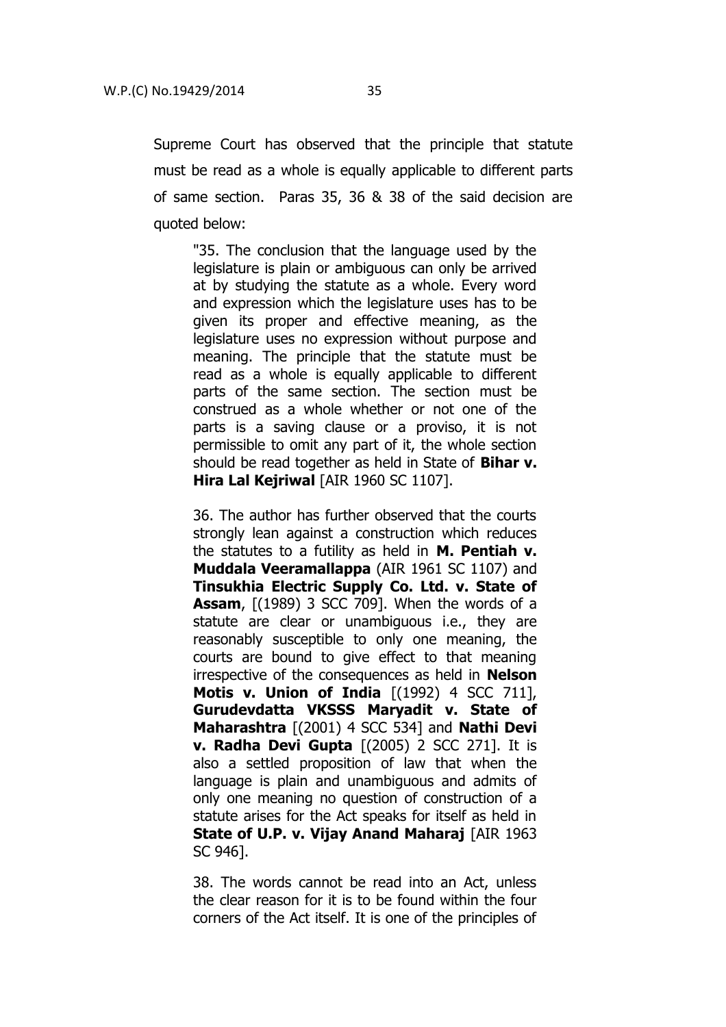Supreme Court has observed that the principle that statute must be read as a whole is equally applicable to different parts of same section. Paras 35, 36 & 38 of the said decision are quoted below:

"35. The conclusion that the language used by the legislature is plain or ambiguous can only be arrived at by studying the statute as a whole. Every word and expression which the legislature uses has to be given its proper and effective meaning, as the legislature uses no expression without purpose and meaning. The principle that the statute must be read as a whole is equally applicable to different parts of the same section. The section must be construed as a whole whether or not one of the parts is a saving clause or a proviso, it is not permissible to omit any part of it, the whole section should be read together as held in State of **Bihar v. Hira Lal Kejriwal** [AIR 1960 SC 1107].

36. The author has further observed that the courts strongly lean against a construction which reduces the statutes to a futility as held in **M. Pentiah v. Muddala Veeramallappa** (AIR 1961 SC 1107) and **Tinsukhia Electric Supply Co. Ltd. v. State of Assam**, [(1989) 3 SCC 709]. When the words of a statute are clear or unambiguous i.e., they are reasonably susceptible to only one meaning, the courts are bound to give effect to that meaning irrespective of the consequences as held in **Nelson Motis v. Union of India** [(1992) 4 SCC 711], **Gurudevdatta VKSSS Maryadit v. State of Maharashtra** [(2001) 4 SCC 534] and **Nathi Devi v. Radha Devi Gupta** [(2005) 2 SCC 271]. It is also a settled proposition of law that when the language is plain and unambiguous and admits of only one meaning no question of construction of a statute arises for the Act speaks for itself as held in **State of U.P. v. Vijay Anand Maharaj** [AIR 1963 SC 946].

38. The words cannot be read into an Act, unless the clear reason for it is to be found within the four corners of the Act itself. It is one of the principles of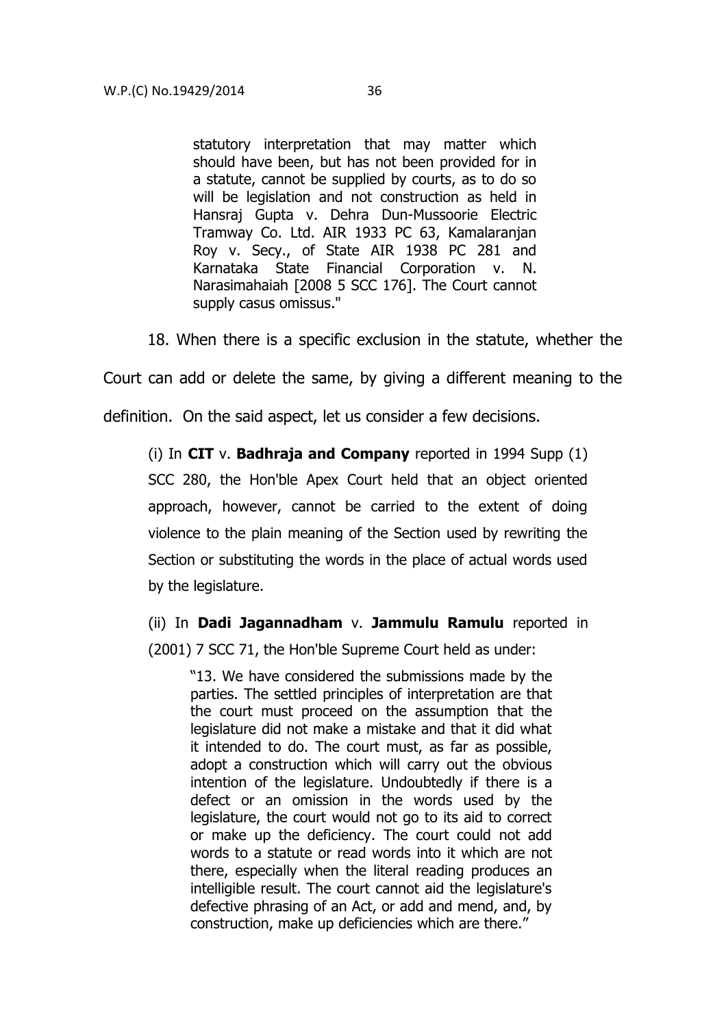statutory interpretation that may matter which should have been, but has not been provided for in a statute, cannot be supplied by courts, as to do so will be legislation and not construction as held in Hansraj Gupta v. Dehra Dun-Mussoorie Electric Tramway Co. Ltd. AIR 1933 PC 63, Kamalaranjan Roy v. Secy., of State AIR 1938 PC 281 and Karnataka State Financial Corporation v. N. Narasimahaiah [2008 5 SCC 176]. The Court cannot supply casus omissus."

18. When there is a specific exclusion in the statute, whether the

Court can add or delete the same, by giving a different meaning to the

definition. On the said aspect, let us consider a few decisions.

(i) In **CIT** v. **Badhraja and Company** reported in 1994 Supp (1) SCC 280, the Hon'ble Apex Court held that an object oriented approach, however, cannot be carried to the extent of doing violence to the plain meaning of the Section used by rewriting the Section or substituting the words in the place of actual words used by the legislature.

(ii) In **Dadi Jagannadham** v. **Jammulu Ramulu** reported in (2001) 7 SCC 71, the Hon'ble Supreme Court held as under:

"13. We have considered the submissions made by the parties. The settled principles of interpretation are that the court must proceed on the assumption that the legislature did not make a mistake and that it did what it intended to do. The court must, as far as possible, adopt a construction which will carry out the obvious intention of the legislature. Undoubtedly if there is a defect or an omission in the words used by the legislature, the court would not go to its aid to correct or make up the deficiency. The court could not add words to a statute or read words into it which are not there, especially when the literal reading produces an intelligible result. The court cannot aid the legislature's defective phrasing of an Act, or add and mend, and, by construction, make up deficiencies which are there."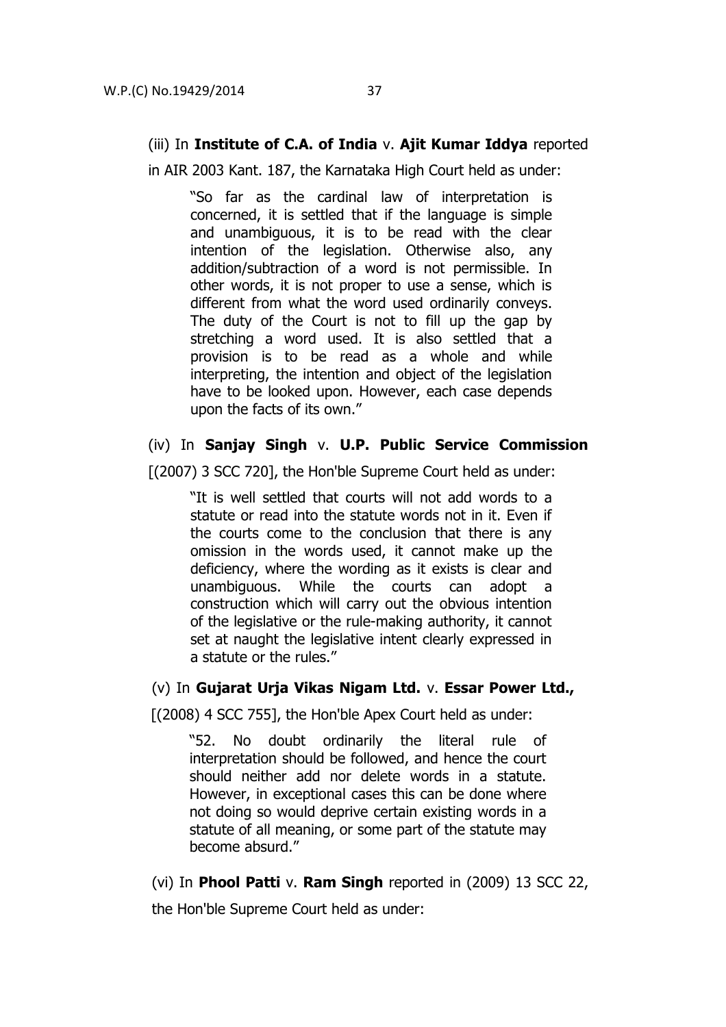# (iii) In **Institute of C.A. of India** v. **Ajit Kumar Iddya** reported

in AIR 2003 Kant. 187, the Karnataka High Court held as under:

"So far as the cardinal law of interpretation is concerned, it is settled that if the language is simple and unambiguous, it is to be read with the clear intention of the legislation. Otherwise also, any addition/subtraction of a word is not permissible. In other words, it is not proper to use a sense, which is different from what the word used ordinarily conveys. The duty of the Court is not to fill up the gap by stretching a word used. It is also settled that a provision is to be read as a whole and while interpreting, the intention and object of the legislation have to be looked upon. However, each case depends upon the facts of its own."

# (iv) In **Sanjay Singh** v. **U.P. Public Service Commission**

[(2007) 3 SCC 720], the Hon'ble Supreme Court held as under:

"It is well settled that courts will not add words to a statute or read into the statute words not in it. Even if the courts come to the conclusion that there is any omission in the words used, it cannot make up the deficiency, where the wording as it exists is clear and unambiguous. While the courts can adopt a construction which will carry out the obvious intention of the legislative or the rule-making authority, it cannot set at naught the legislative intent clearly expressed in a statute or the rules."

# (v) In **Gujarat Urja Vikas Nigam Ltd.** v. **Essar Power Ltd.,**

[(2008) 4 SCC 755], the Hon'ble Apex Court held as under:

"52. No doubt ordinarily the literal rule of interpretation should be followed, and hence the court should neither add nor delete words in a statute. However, in exceptional cases this can be done where not doing so would deprive certain existing words in a statute of all meaning, or some part of the statute may become absurd."

(vi) In **Phool Patti** v. **Ram Singh** reported in (2009) 13 SCC 22,

the Hon'ble Supreme Court held as under: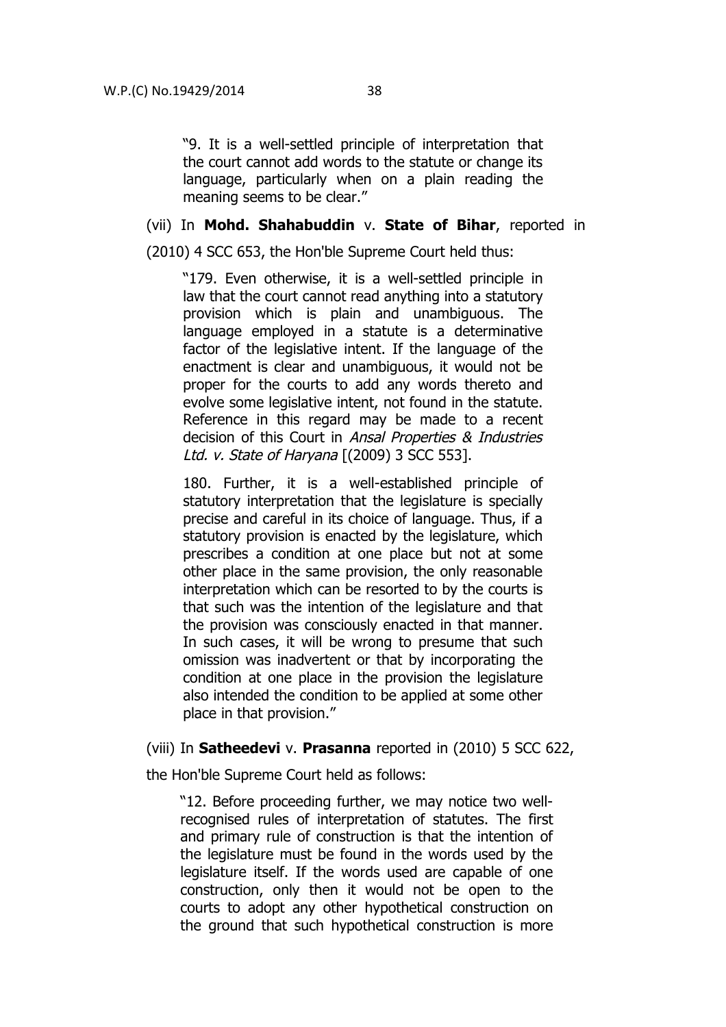"9. It is a well-settled principle of interpretation that the court cannot add words to the statute or change its language, particularly when on a plain reading the meaning seems to be clear."

#### (vii) In **Mohd. Shahabuddin** v. **State of Bihar**, reported in

(2010) 4 SCC 653, the Hon'ble Supreme Court held thus:

"179. Even otherwise, it is a well-settled principle in law that the court cannot read anything into a statutory provision which is plain and unambiguous. The language employed in a statute is a determinative factor of the legislative intent. If the language of the enactment is clear and unambiguous, it would not be proper for the courts to add any words thereto and evolve some legislative intent, not found in the statute. Reference in this regard may be made to a recent decision of this Court in Ansal Properties & Industries Ltd. v. State of Harvana [(2009) 3 SCC 553].

180. Further, it is a well-established principle of statutory interpretation that the legislature is specially precise and careful in its choice of language. Thus, if a statutory provision is enacted by the legislature, which prescribes a condition at one place but not at some other place in the same provision, the only reasonable interpretation which can be resorted to by the courts is that such was the intention of the legislature and that the provision was consciously enacted in that manner. In such cases, it will be wrong to presume that such omission was inadvertent or that by incorporating the condition at one place in the provision the legislature also intended the condition to be applied at some other place in that provision."

## (viii) In **Satheedevi** v. **Prasanna** reported in (2010) 5 SCC 622,

the Hon'ble Supreme Court held as follows:

"12. Before proceeding further, we may notice two wellrecognised rules of interpretation of statutes. The first and primary rule of construction is that the intention of the legislature must be found in the words used by the legislature itself. If the words used are capable of one construction, only then it would not be open to the courts to adopt any other hypothetical construction on the ground that such hypothetical construction is more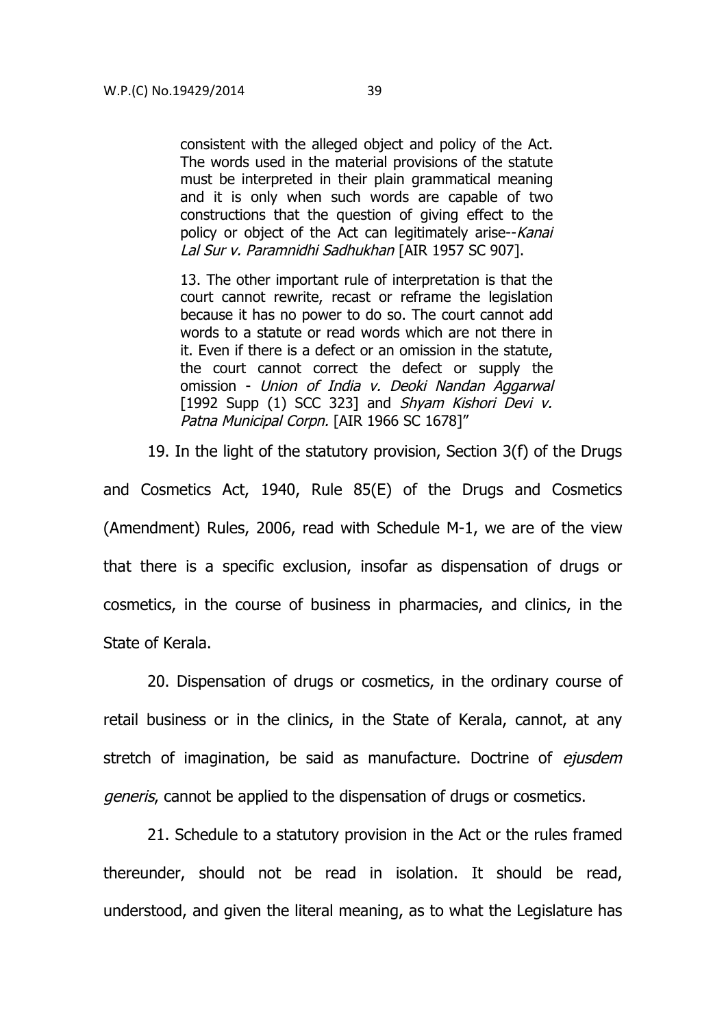consistent with the alleged object and policy of the Act. The words used in the material provisions of the statute must be interpreted in their plain grammatical meaning and it is only when such words are capable of two constructions that the question of giving effect to the policy or object of the Act can legitimately arise--Kanai Lal Sur v. Paramnidhi Sadhukhan [AIR 1957 SC 907].

13. The other important rule of interpretation is that the court cannot rewrite, recast or reframe the legislation because it has no power to do so. The court cannot add words to a statute or read words which are not there in it. Even if there is a defect or an omission in the statute, the court cannot correct the defect or supply the omission - Union of India v. Deoki Nandan Aggarwal [1992 Supp (1) SCC 323] and Shyam Kishori Devi v. Patna Municipal Corpn. [AIR 1966 SC 1678]"

19. In the light of the statutory provision, Section 3(f) of the Drugs

and Cosmetics Act, 1940, Rule 85(E) of the Drugs and Cosmetics (Amendment) Rules, 2006, read with Schedule M-1, we are of the view that there is a specific exclusion, insofar as dispensation of drugs or cosmetics, in the course of business in pharmacies, and clinics, in the State of Kerala.

20. Dispensation of drugs or cosmetics, in the ordinary course of retail business or in the clinics, in the State of Kerala, cannot, at any stretch of imagination, be said as manufacture. Doctrine of ejusdem generis, cannot be applied to the dispensation of drugs or cosmetics.

21. Schedule to a statutory provision in the Act or the rules framed thereunder, should not be read in isolation. It should be read, understood, and given the literal meaning, as to what the Legislature has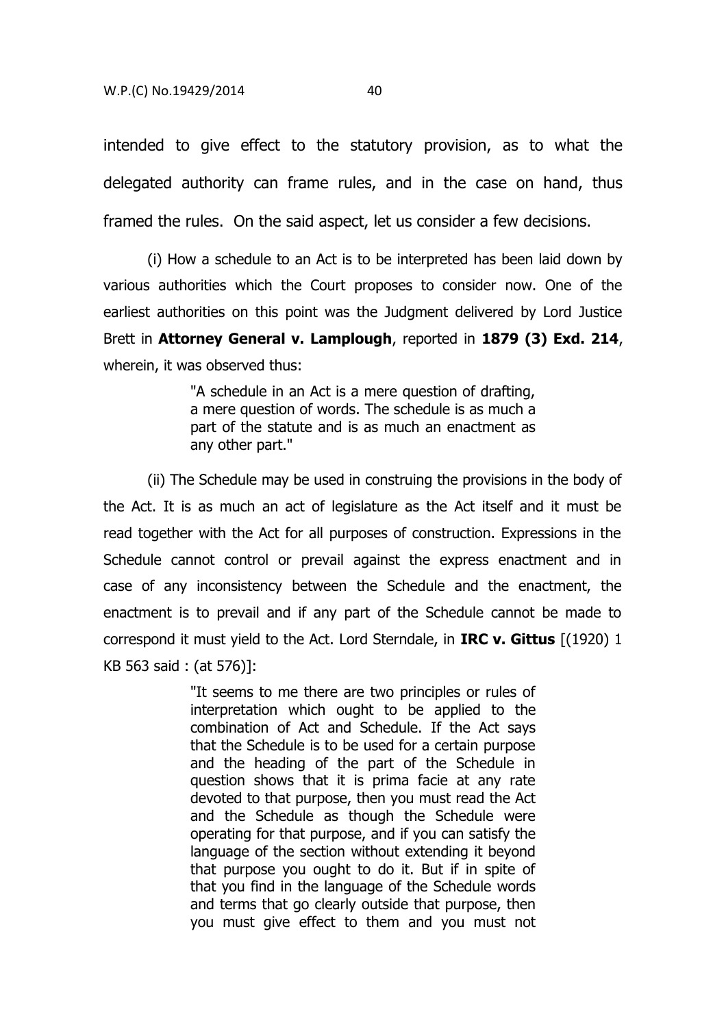intended to give effect to the statutory provision, as to what the delegated authority can frame rules, and in the case on hand, thus framed the rules. On the said aspect, let us consider a few decisions.

(i) How a schedule to an Act is to be interpreted has been laid down by various authorities which the Court proposes to consider now. One of the earliest authorities on this point was the Judgment delivered by Lord Justice Brett in **Attorney General v. Lamplough**, reported in **1879 (3) Exd. 214**, wherein, it was observed thus:

> "A schedule in an Act is a mere question of drafting, a mere question of words. The schedule is as much a part of the statute and is as much an enactment as any other part."

(ii) The Schedule may be used in construing the provisions in the body of the Act. It is as much an act of legislature as the Act itself and it must be read together with the Act for all purposes of construction. Expressions in the Schedule cannot control or prevail against the express enactment and in case of any inconsistency between the Schedule and the enactment, the enactment is to prevail and if any part of the Schedule cannot be made to correspond it must yield to the Act. Lord Sterndale, in **IRC v. Gittus** [(1920) 1 KB 563 said : (at 576)]:

> "It seems to me there are two principles or rules of interpretation which ought to be applied to the combination of Act and Schedule. If the Act says that the Schedule is to be used for a certain purpose and the heading of the part of the Schedule in question shows that it is prima facie at any rate devoted to that purpose, then you must read the Act and the Schedule as though the Schedule were operating for that purpose, and if you can satisfy the language of the section without extending it beyond that purpose you ought to do it. But if in spite of that you find in the language of the Schedule words and terms that go clearly outside that purpose, then you must give effect to them and you must not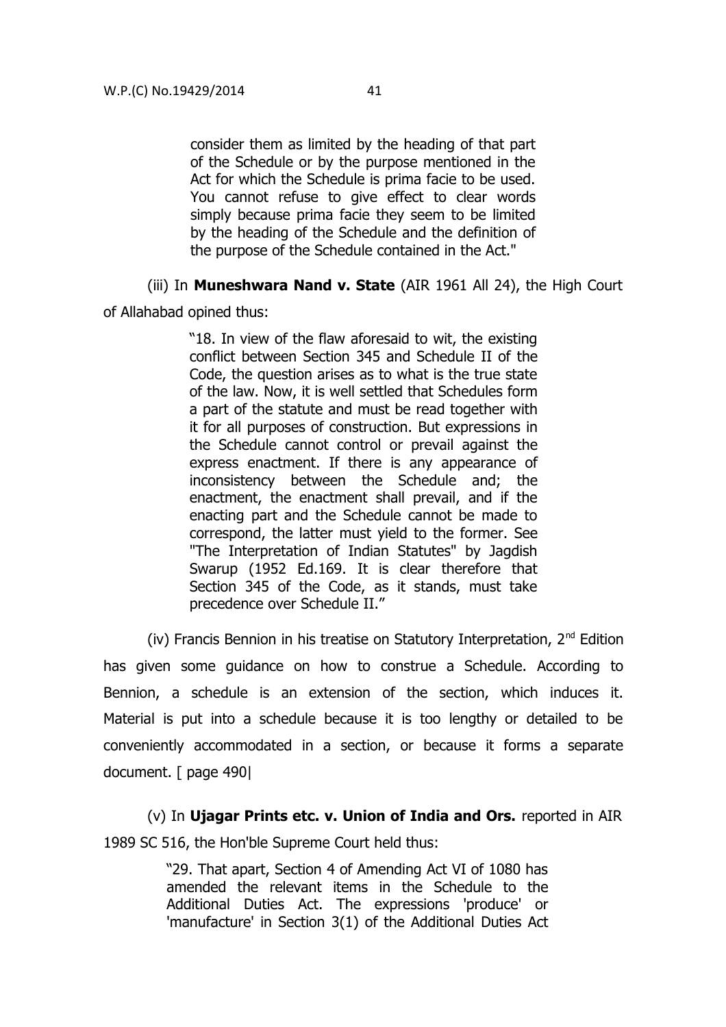consider them as limited by the heading of that part of the Schedule or by the purpose mentioned in the Act for which the Schedule is prima facie to be used. You cannot refuse to give effect to clear words simply because prima facie they seem to be limited by the heading of the Schedule and the definition of the purpose of the Schedule contained in the Act."

(iii) In **Muneshwara Nand v. State** (AIR 1961 All 24), the High Court

of Allahabad opined thus:

"18. In view of the flaw aforesaid to wit, the existing conflict between Section 345 and Schedule II of the Code, the question arises as to what is the true state of the law. Now, it is well settled that Schedules form a part of the statute and must be read together with it for all purposes of construction. But expressions in the Schedule cannot control or prevail against the express enactment. If there is any appearance of inconsistency between the Schedule and; the enactment, the enactment shall prevail, and if the enacting part and the Schedule cannot be made to correspond, the latter must yield to the former. See "The Interpretation of Indian Statutes" by Jagdish Swarup (1952 Ed.169. It is clear therefore that Section 345 of the Code, as it stands, must take precedence over Schedule II."

(iv) Francis Bennion in his treatise on Statutory Interpretation,  $2<sup>nd</sup>$  Edition has given some guidance on how to construe a Schedule. According to Bennion, a schedule is an extension of the section, which induces it. Material is put into a schedule because it is too lengthy or detailed to be conveniently accommodated in a section, or because it forms a separate document. [ page 490|

(v) In **Ujagar Prints etc. v. Union of India and Ors.** reported in AIR 1989 SC 516, the Hon'ble Supreme Court held thus:

> "29. That apart, Section 4 of Amending Act VI of 1080 has amended the relevant items in the Schedule to the Additional Duties Act. The expressions 'produce' or 'manufacture' in Section 3(1) of the Additional Duties Act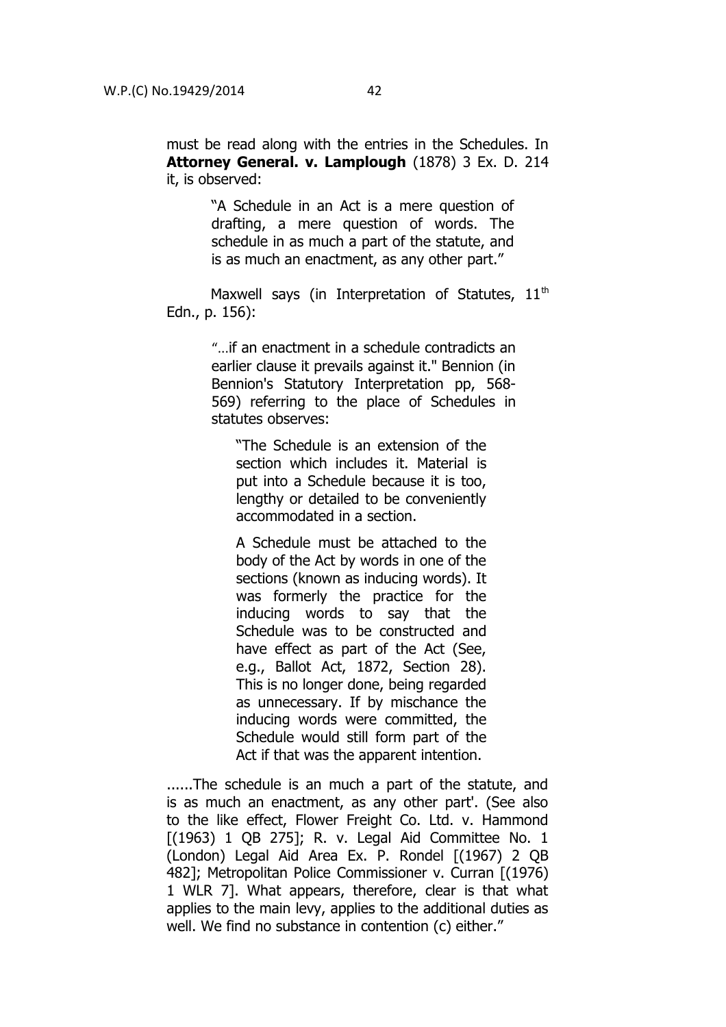must be read along with the entries in the Schedules. In **Attorney General. v. Lamplough** (1878) 3 Ex. D. 214 it, is observed:

> "A Schedule in an Act is a mere question of drafting, a mere question of words. The schedule in as much a part of the statute, and is as much an enactment, as any other part."

Maxwell says (in Interpretation of Statutes,  $11<sup>th</sup>$ Edn., p. 156):

> "...if an enactment in a schedule contradicts an earlier clause it prevails against it." Bennion (in Bennion's Statutory Interpretation pp, 568- 569) referring to the place of Schedules in statutes observes:

"The Schedule is an extension of the section which includes it. Material is put into a Schedule because it is too, lengthy or detailed to be conveniently accommodated in a section.

A Schedule must be attached to the body of the Act by words in one of the sections (known as inducing words). It was formerly the practice for the inducing words to say that the Schedule was to be constructed and have effect as part of the Act (See, e.g., Ballot Act, 1872, Section 28). This is no longer done, being regarded as unnecessary. If by mischance the inducing words were committed, the Schedule would still form part of the Act if that was the apparent intention.

......The schedule is an much a part of the statute, and is as much an enactment, as any other part'. (See also to the like effect, Flower Freight Co. Ltd. v. Hammond [(1963) 1 QB 275]; R. v. Legal Aid Committee No. 1 (London) Legal Aid Area Ex. P. Rondel [(1967) 2 QB 482]; Metropolitan Police Commissioner v. Curran [(1976) 1 WLR 7]. What appears, therefore, clear is that what applies to the main levy, applies to the additional duties as well. We find no substance in contention (c) either."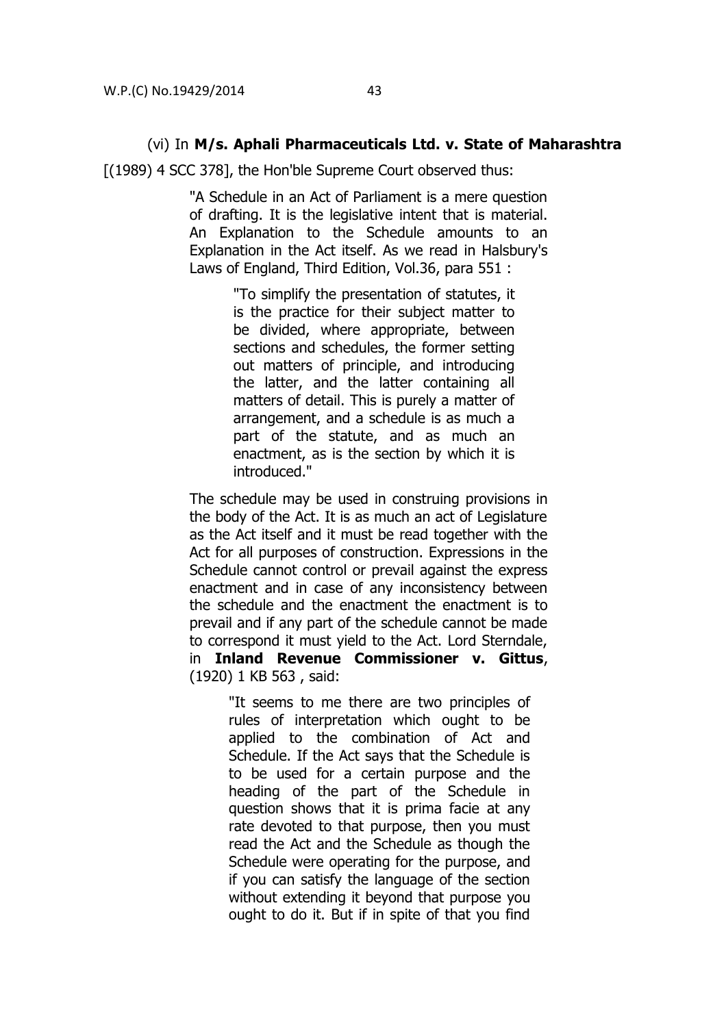#### (vi) In **M/s. Aphali Pharmaceuticals Ltd. v. State of Maharashtra**

[(1989) 4 SCC 378], the Hon'ble Supreme Court observed thus:

"A Schedule in an Act of Parliament is a mere question of drafting. It is the legislative intent that is material. An Explanation to the Schedule amounts to an Explanation in the Act itself. As we read in Halsbury's Laws of England, Third Edition, Vol.36, para 551 :

> "To simplify the presentation of statutes, it is the practice for their subject matter to be divided, where appropriate, between sections and schedules, the former setting out matters of principle, and introducing the latter, and the latter containing all matters of detail. This is purely a matter of arrangement, and a schedule is as much a part of the statute, and as much an enactment, as is the section by which it is introduced."

The schedule may be used in construing provisions in the body of the Act. It is as much an act of Legislature as the Act itself and it must be read together with the Act for all purposes of construction. Expressions in the Schedule cannot control or prevail against the express enactment and in case of any inconsistency between the schedule and the enactment the enactment is to prevail and if any part of the schedule cannot be made to correspond it must yield to the Act. Lord Sterndale, in **Inland Revenue Commissioner v. Gittus**, (1920) 1 KB 563 , said:

> "It seems to me there are two principles of rules of interpretation which ought to be applied to the combination of Act and Schedule. If the Act says that the Schedule is to be used for a certain purpose and the heading of the part of the Schedule in question shows that it is prima facie at any rate devoted to that purpose, then you must read the Act and the Schedule as though the Schedule were operating for the purpose, and if you can satisfy the language of the section without extending it beyond that purpose you ought to do it. But if in spite of that you find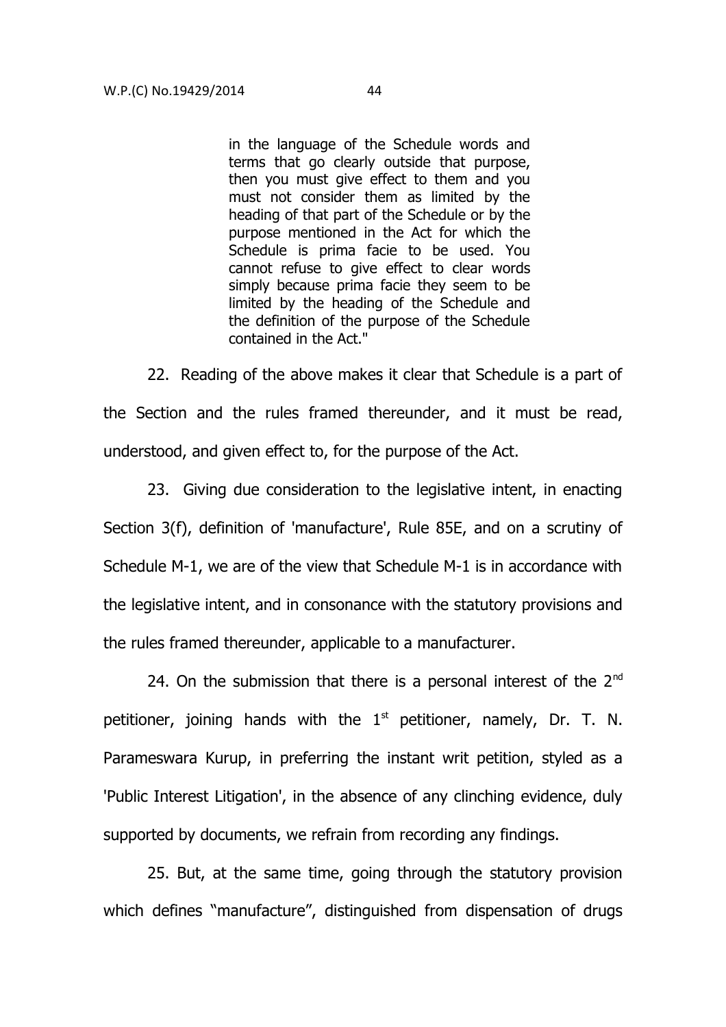in the language of the Schedule words and terms that go clearly outside that purpose, then you must give effect to them and you must not consider them as limited by the heading of that part of the Schedule or by the purpose mentioned in the Act for which the Schedule is prima facie to be used. You cannot refuse to give effect to clear words simply because prima facie they seem to be limited by the heading of the Schedule and the definition of the purpose of the Schedule contained in the Act."

22. Reading of the above makes it clear that Schedule is a part of the Section and the rules framed thereunder, and it must be read, understood, and given effect to, for the purpose of the Act.

23. Giving due consideration to the legislative intent, in enacting Section 3(f), definition of 'manufacture', Rule 85E, and on a scrutiny of Schedule M-1, we are of the view that Schedule M-1 is in accordance with the legislative intent, and in consonance with the statutory provisions and the rules framed thereunder, applicable to a manufacturer.

24. On the submission that there is a personal interest of the  $2<sup>nd</sup>$ petitioner, joining hands with the  $1<sup>st</sup>$  petitioner, namely, Dr. T. N. Parameswara Kurup, in preferring the instant writ petition, styled as a 'Public Interest Litigation', in the absence of any clinching evidence, duly supported by documents, we refrain from recording any findings.

25. But, at the same time, going through the statutory provision which defines "manufacture", distinguished from dispensation of drugs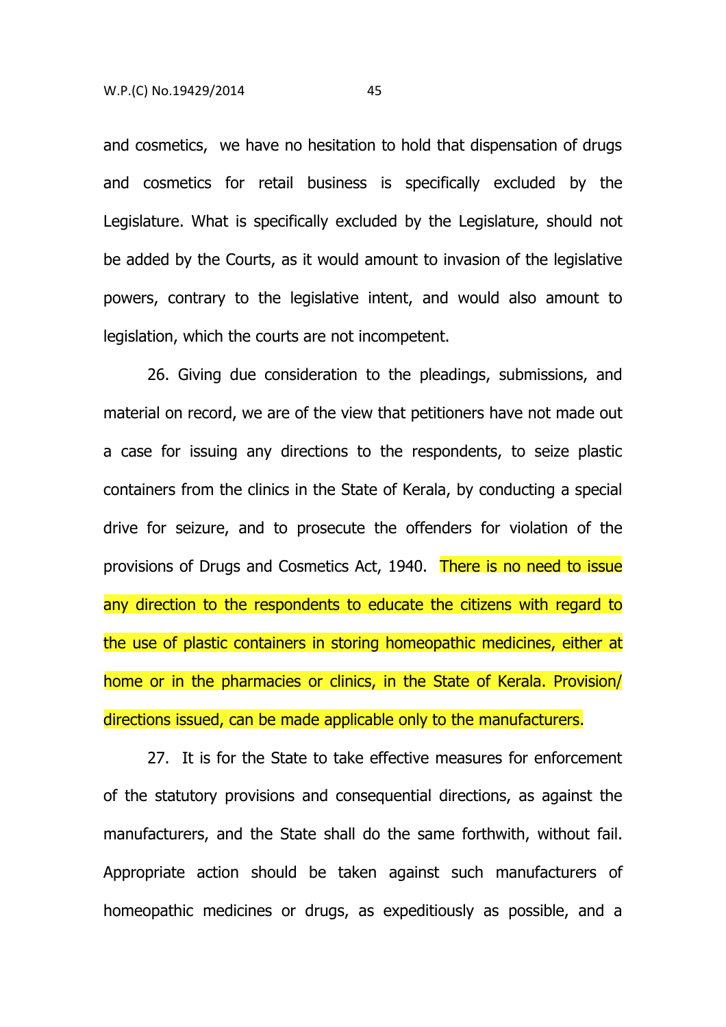and cosmetics, we have no hesitation to hold that dispensation of drugs and cosmetics for retail business is specifically excluded by the Legislature. What is specifically excluded by the Legislature, should not be added by the Courts, as it would amount to invasion of the legislative powers, contrary to the legislative intent, and would also amount to legislation, which the courts are not incompetent.

26. Giving due consideration to the pleadings, submissions, and material on record, we are of the view that petitioners have not made out a case for issuing any directions to the respondents, to seize plastic containers from the clinics in the State of Kerala, by conducting a special drive for seizure, and to prosecute the offenders for violation of the provisions of Drugs and Cosmetics Act, 1940. There is no need to issue any direction to the respondents to educate the citizens with regard to the use of plastic containers in storing homeopathic medicines, either at home or in the pharmacies or clinics, in the State of Kerala. Provision/ directions issued, can be made applicable only to the manufacturers.

27. It is for the State to take effective measures for enforcement of the statutory provisions and consequential directions, as against the manufacturers, and the State shall do the same forthwith, without fail. Appropriate action should be taken against such manufacturers of homeopathic medicines or drugs, as expeditiously as possible, and a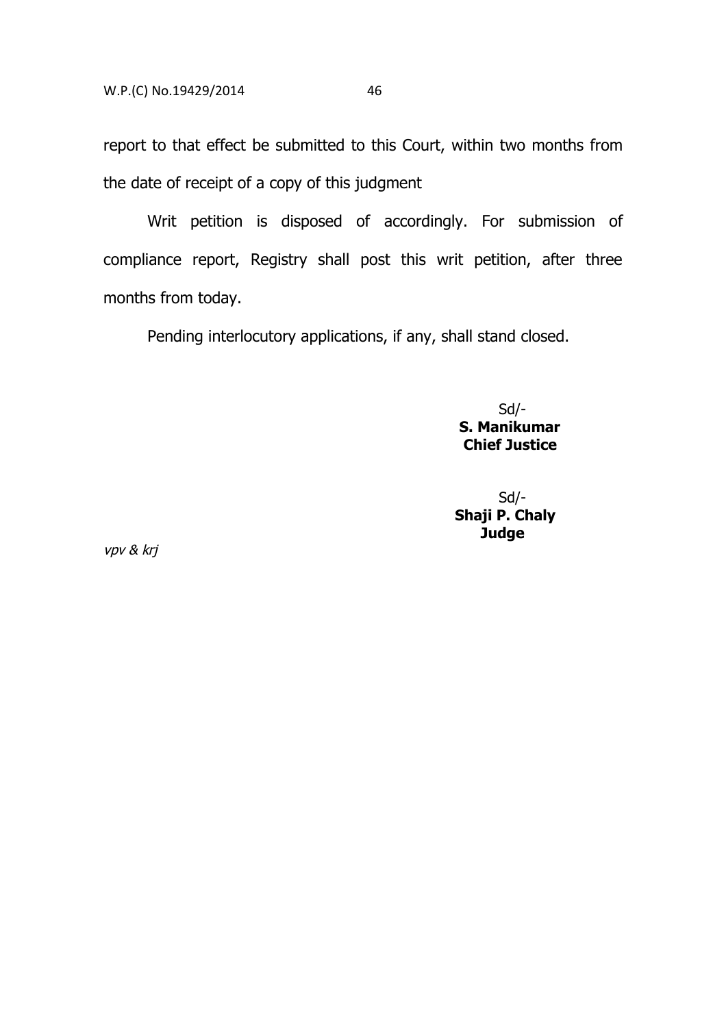report to that effect be submitted to this Court, within two months from

the date of receipt of a copy of this judgment

Writ petition is disposed of accordingly. For submission of compliance report, Registry shall post this writ petition, after three months from today.

Pending interlocutory applications, if any, shall stand closed.

Sd/-  **S. Manikumar Chief Justice** 

Sd/-  **Shaji P. Chaly Judge** 

vpv & krj